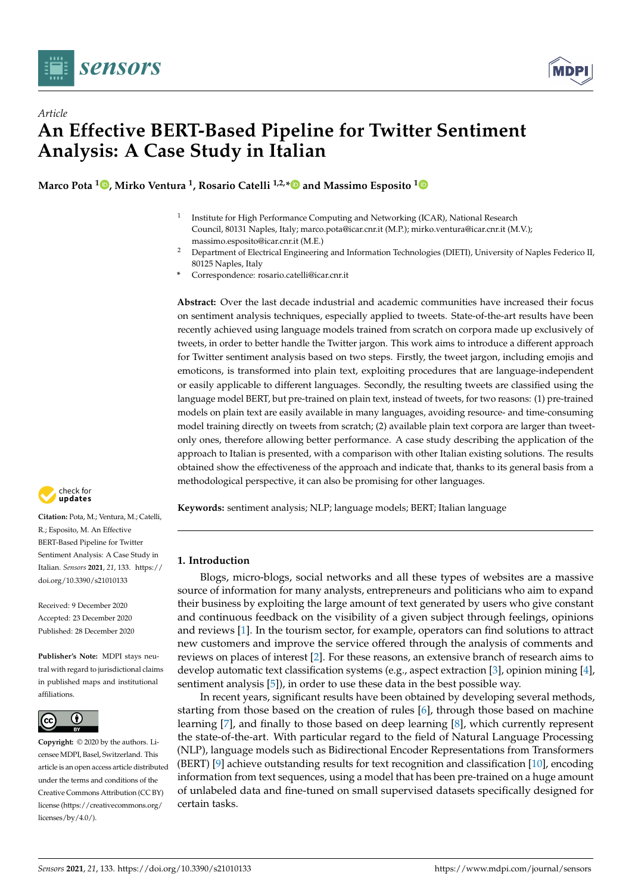



# *Article* **An Effective BERT-Based Pipeline for Twitter Sentiment Analysis: A Case Study in Italian**

**Marco Pota <sup>1</sup> [,](https://orcid.org/0000-0001-6825-6393) Mirko Ventura <sup>1</sup> , Rosario Catelli 1,2,[\\*](https://orcid.org/0000-0001-5598-6477) and Massimo Esposito [1](https://orcid.org/0000-0002-7196-7994)**

- 1 Institute for High Performance Computing and Networking (ICAR), National Research Council, 80131 Naples, Italy; marco.pota@icar.cnr.it (M.P.); mirko.ventura@icar.cnr.it (M.V.); massimo.esposito@icar.cnr.it (M.E.)
- <sup>2</sup> Department of Electrical Engineering and Information Technologies (DIETI), University of Naples Federico II, 80125 Naples, Italy
- **\*** Correspondence: rosario.catelli@icar.cnr.it

**Abstract:** Over the last decade industrial and academic communities have increased their focus on sentiment analysis techniques, especially applied to tweets. State-of-the-art results have been recently achieved using language models trained from scratch on corpora made up exclusively of tweets, in order to better handle the Twitter jargon. This work aims to introduce a different approach for Twitter sentiment analysis based on two steps. Firstly, the tweet jargon, including emojis and emoticons, is transformed into plain text, exploiting procedures that are language-independent or easily applicable to different languages. Secondly, the resulting tweets are classified using the language model BERT, but pre-trained on plain text, instead of tweets, for two reasons: (1) pre-trained models on plain text are easily available in many languages, avoiding resource- and time-consuming model training directly on tweets from scratch; (2) available plain text corpora are larger than tweetonly ones, therefore allowing better performance. A case study describing the application of the approach to Italian is presented, with a comparison with other Italian existing solutions. The results obtained show the effectiveness of the approach and indicate that, thanks to its general basis from a methodological perspective, it can also be promising for other languages.

**Keywords:** sentiment analysis; NLP; language models; BERT; Italian language

## **1. Introduction**

Blogs, micro-blogs, social networks and all these types of websites are a massive source of information for many analysts, entrepreneurs and politicians who aim to expand their business by exploiting the large amount of text generated by users who give constant and continuous feedback on the visibility of a given subject through feelings, opinions and reviews [\[1\]](#page-16-0). In the tourism sector, for example, operators can find solutions to attract new customers and improve the service offered through the analysis of comments and reviews on places of interest [\[2\]](#page-16-1). For these reasons, an extensive branch of research aims to develop automatic text classification systems (e.g., aspect extraction [\[3\]](#page-16-2), opinion mining [\[4\]](#page-16-3), sentiment analysis [\[5\]](#page-16-4)), in order to use these data in the best possible way.

In recent years, significant results have been obtained by developing several methods, starting from those based on the creation of rules [\[6\]](#page-16-5), through those based on machine learning [\[7\]](#page-16-6), and finally to those based on deep learning [\[8\]](#page-16-7), which currently represent the state-of-the-art. With particular regard to the field of Natural Language Processing (NLP), language models such as Bidirectional Encoder Representations from Transformers (BERT) [\[9\]](#page-16-8) achieve outstanding results for text recognition and classification [\[10\]](#page-16-9), encoding information from text sequences, using a model that has been pre-trained on a huge amount of unlabeled data and fine-tuned on small supervised datasets specifically designed for certain tasks.



**Citation:** Pota, M.; Ventura, M.; Catelli, R.; Esposito, M. An Effective BERT-Based Pipeline for Twitter Sentiment Analysis: A Case Study in Italian. *Sensors* **2021**, *21*, 133. [https://](https://doi.org/10.3390/s21010133) [doi.org/10.3390/s21010133](https://doi.org/10.3390/s21010133)

Received: 9 December 2020 Accepted: 23 December 2020 Published: 28 December 2020

**Publisher's Note:** MDPI stays neutral with regard to jurisdictional claims in published maps and institutional affiliations.



**Copyright:** © 2020 by the authors. Licensee MDPI, Basel, Switzerland. This article is an open access article distributed under the terms and conditions of the Creative Commons Attribution (CC BY) license [\(https://creativecommons.org/](https://creativecommons.org/licenses/by/4.0/) [licenses/by/4.0/\)](https://creativecommons.org/licenses/by/4.0/).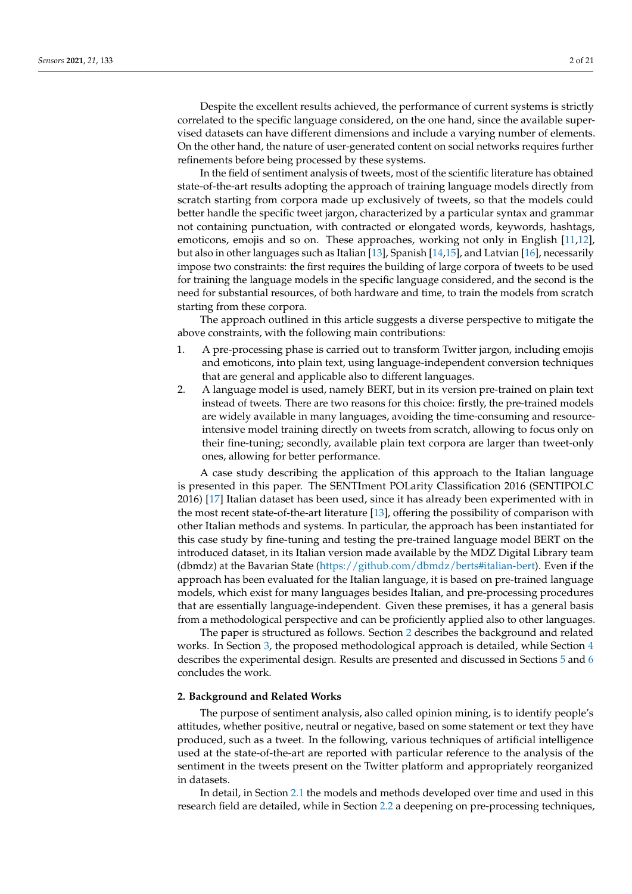Despite the excellent results achieved, the performance of current systems is strictly correlated to the specific language considered, on the one hand, since the available supervised datasets can have different dimensions and include a varying number of elements. On the other hand, the nature of user-generated content on social networks requires further refinements before being processed by these systems.

In the field of sentiment analysis of tweets, most of the scientific literature has obtained state-of-the-art results adopting the approach of training language models directly from scratch starting from corpora made up exclusively of tweets, so that the models could better handle the specific tweet jargon, characterized by a particular syntax and grammar not containing punctuation, with contracted or elongated words, keywords, hashtags, emoticons, emojis and so on. These approaches, working not only in English [\[11,](#page-16-10)[12\]](#page-16-11), but also in other languages such as Italian [\[13\]](#page-16-12), Spanish [\[14](#page-16-13)[,15\]](#page-16-14), and Latvian [\[16\]](#page-16-15), necessarily impose two constraints: the first requires the building of large corpora of tweets to be used for training the language models in the specific language considered, and the second is the need for substantial resources, of both hardware and time, to train the models from scratch starting from these corpora.

The approach outlined in this article suggests a diverse perspective to mitigate the above constraints, with the following main contributions:

- 1. A pre-processing phase is carried out to transform Twitter jargon, including emojis and emoticons, into plain text, using language-independent conversion techniques that are general and applicable also to different languages.
- 2. A language model is used, namely BERT, but in its version pre-trained on plain text instead of tweets. There are two reasons for this choice: firstly, the pre-trained models are widely available in many languages, avoiding the time-consuming and resourceintensive model training directly on tweets from scratch, allowing to focus only on their fine-tuning; secondly, available plain text corpora are larger than tweet-only ones, allowing for better performance.

A case study describing the application of this approach to the Italian language is presented in this paper. The SENTIment POLarity Classification 2016 (SENTIPOLC 2016) [\[17\]](#page-16-16) Italian dataset has been used, since it has already been experimented with in the most recent state-of-the-art literature [\[13\]](#page-16-12), offering the possibility of comparison with other Italian methods and systems. In particular, the approach has been instantiated for this case study by fine-tuning and testing the pre-trained language model BERT on the introduced dataset, in its Italian version made available by the MDZ Digital Library team (dbmdz) at the Bavarian State [\(https://github.com/dbmdz/berts#italian-bert\)](https://github.com/dbmdz/berts#italian-bert). Even if the approach has been evaluated for the Italian language, it is based on pre-trained language models, which exist for many languages besides Italian, and pre-processing procedures that are essentially language-independent. Given these premises, it has a general basis from a methodological perspective and can be proficiently applied also to other languages.

The paper is structured as follows. Section [2](#page-1-0) describes the background and related works. In Section [3,](#page-6-0) the proposed methodological approach is detailed, while Section [4](#page-10-0) describes the experimental design. Results are presented and discussed in Sections [5](#page-13-0) and [6](#page-15-0) concludes the work.

## <span id="page-1-0"></span>**2. Background and Related Works**

The purpose of sentiment analysis, also called opinion mining, is to identify people's attitudes, whether positive, neutral or negative, based on some statement or text they have produced, such as a tweet. In the following, various techniques of artificial intelligence used at the state-of-the-art are reported with particular reference to the analysis of the sentiment in the tweets present on the Twitter platform and appropriately reorganized in datasets.

In detail, in Section [2.1](#page-2-0) the models and methods developed over time and used in this research field are detailed, while in Section [2.2](#page-4-0) a deepening on pre-processing techniques,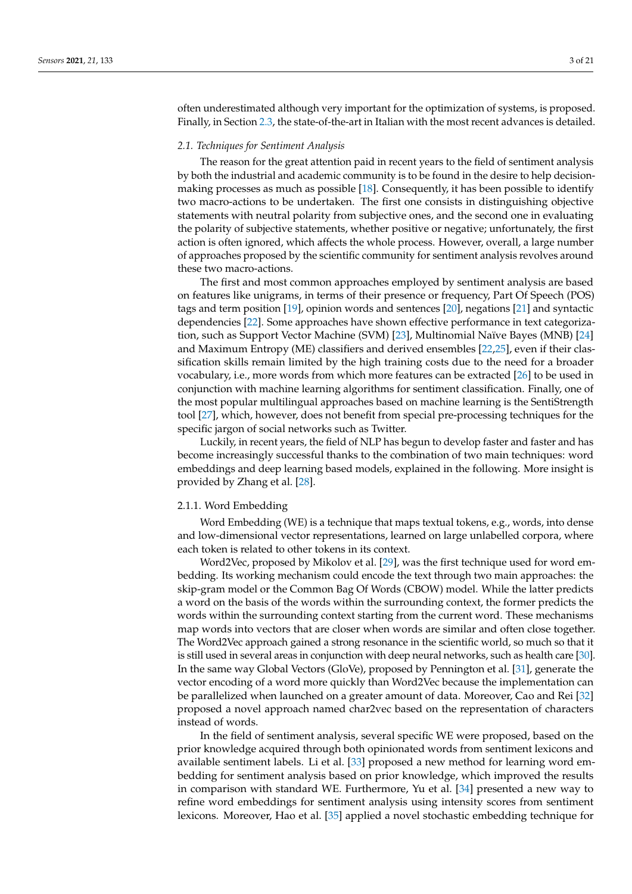often underestimated although very important for the optimization of systems, is proposed. Finally, in Section [2.3,](#page-5-0) the state-of-the-art in Italian with the most recent advances is detailed.

## <span id="page-2-0"></span>*2.1. Techniques for Sentiment Analysis*

The reason for the great attention paid in recent years to the field of sentiment analysis by both the industrial and academic community is to be found in the desire to help decisionmaking processes as much as possible [\[18\]](#page-16-17). Consequently, it has been possible to identify two macro-actions to be undertaken. The first one consists in distinguishing objective statements with neutral polarity from subjective ones, and the second one in evaluating the polarity of subjective statements, whether positive or negative; unfortunately, the first action is often ignored, which affects the whole process. However, overall, a large number of approaches proposed by the scientific community for sentiment analysis revolves around these two macro-actions.

The first and most common approaches employed by sentiment analysis are based on features like unigrams, in terms of their presence or frequency, Part Of Speech (POS) tags and term position [\[19\]](#page-16-18), opinion words and sentences [\[20\]](#page-17-0), negations [\[21\]](#page-17-1) and syntactic dependencies [\[22\]](#page-17-2). Some approaches have shown effective performance in text categorization, such as Support Vector Machine (SVM) [\[23\]](#page-17-3), Multinomial Naïve Bayes (MNB) [\[24\]](#page-17-4) and Maximum Entropy (ME) classifiers and derived ensembles [\[22,](#page-17-2)[25\]](#page-17-5), even if their classification skills remain limited by the high training costs due to the need for a broader vocabulary, i.e., more words from which more features can be extracted [\[26\]](#page-17-6) to be used in conjunction with machine learning algorithms for sentiment classification. Finally, one of the most popular multilingual approaches based on machine learning is the SentiStrength tool [\[27\]](#page-17-7), which, however, does not benefit from special pre-processing techniques for the specific jargon of social networks such as Twitter.

Luckily, in recent years, the field of NLP has begun to develop faster and faster and has become increasingly successful thanks to the combination of two main techniques: word embeddings and deep learning based models, explained in the following. More insight is provided by Zhang et al. [\[28\]](#page-17-8).

#### 2.1.1. Word Embedding

Word Embedding (WE) is a technique that maps textual tokens, e.g., words, into dense and low-dimensional vector representations, learned on large unlabelled corpora, where each token is related to other tokens in its context.

Word2Vec, proposed by Mikolov et al. [\[29\]](#page-17-9), was the first technique used for word embedding. Its working mechanism could encode the text through two main approaches: the skip-gram model or the Common Bag Of Words (CBOW) model. While the latter predicts a word on the basis of the words within the surrounding context, the former predicts the words within the surrounding context starting from the current word. These mechanisms map words into vectors that are closer when words are similar and often close together. The Word2Vec approach gained a strong resonance in the scientific world, so much so that it is still used in several areas in conjunction with deep neural networks, such as health care [\[30\]](#page-17-10). In the same way Global Vectors (GloVe), proposed by Pennington et al. [\[31\]](#page-17-11), generate the vector encoding of a word more quickly than Word2Vec because the implementation can be parallelized when launched on a greater amount of data. Moreover, Cao and Rei [\[32\]](#page-17-12) proposed a novel approach named char2vec based on the representation of characters instead of words.

In the field of sentiment analysis, several specific WE were proposed, based on the prior knowledge acquired through both opinionated words from sentiment lexicons and available sentiment labels. Li et al. [\[33\]](#page-17-13) proposed a new method for learning word embedding for sentiment analysis based on prior knowledge, which improved the results in comparison with standard WE. Furthermore, Yu et al. [\[34\]](#page-17-14) presented a new way to refine word embeddings for sentiment analysis using intensity scores from sentiment lexicons. Moreover, Hao et al. [\[35\]](#page-17-15) applied a novel stochastic embedding technique for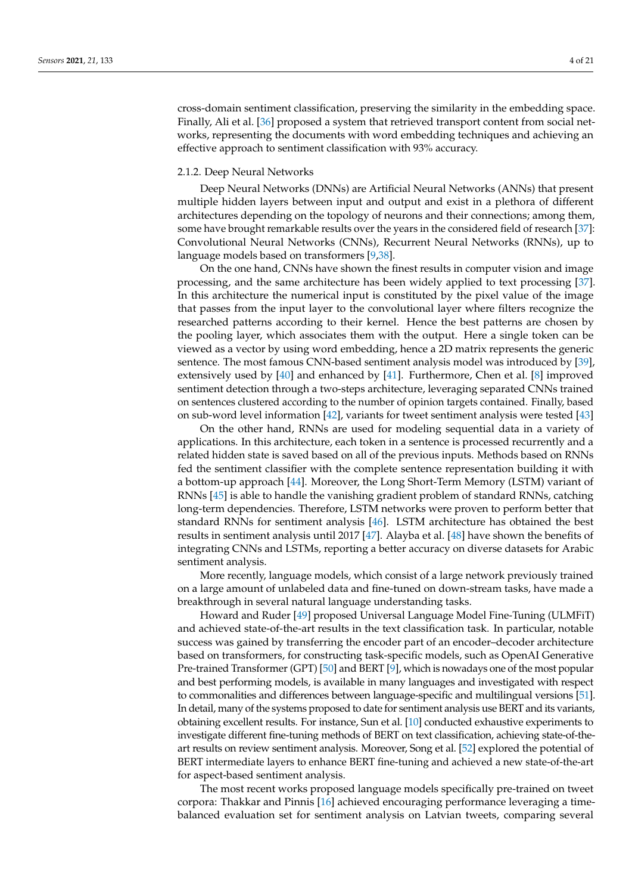cross-domain sentiment classification, preserving the similarity in the embedding space. Finally, Ali et al. [\[36\]](#page-17-16) proposed a system that retrieved transport content from social networks, representing the documents with word embedding techniques and achieving an effective approach to sentiment classification with 93% accuracy.

#### 2.1.2. Deep Neural Networks

Deep Neural Networks (DNNs) are Artificial Neural Networks (ANNs) that present multiple hidden layers between input and output and exist in a plethora of different architectures depending on the topology of neurons and their connections; among them, some have brought remarkable results over the years in the considered field of research [\[37\]](#page-17-17): Convolutional Neural Networks (CNNs), Recurrent Neural Networks (RNNs), up to language models based on transformers [\[9,](#page-16-8)[38\]](#page-17-18).

On the one hand, CNNs have shown the finest results in computer vision and image processing, and the same architecture has been widely applied to text processing [\[37\]](#page-17-17). In this architecture the numerical input is constituted by the pixel value of the image that passes from the input layer to the convolutional layer where filters recognize the researched patterns according to their kernel. Hence the best patterns are chosen by the pooling layer, which associates them with the output. Here a single token can be viewed as a vector by using word embedding, hence a 2D matrix represents the generic sentence. The most famous CNN-based sentiment analysis model was introduced by [\[39\]](#page-17-19), extensively used by [\[40\]](#page-17-20) and enhanced by [\[41\]](#page-17-21). Furthermore, Chen et al. [\[8\]](#page-16-7) improved sentiment detection through a two-steps architecture, leveraging separated CNNs trained on sentences clustered according to the number of opinion targets contained. Finally, based on sub-word level information [\[42\]](#page-17-22), variants for tweet sentiment analysis were tested [\[43\]](#page-18-0)

On the other hand, RNNs are used for modeling sequential data in a variety of applications. In this architecture, each token in a sentence is processed recurrently and a related hidden state is saved based on all of the previous inputs. Methods based on RNNs fed the sentiment classifier with the complete sentence representation building it with a bottom-up approach [\[44\]](#page-18-1). Moreover, the Long Short-Term Memory (LSTM) variant of RNNs [\[45\]](#page-18-2) is able to handle the vanishing gradient problem of standard RNNs, catching long-term dependencies. Therefore, LSTM networks were proven to perform better that standard RNNs for sentiment analysis [\[46\]](#page-18-3). LSTM architecture has obtained the best results in sentiment analysis until 2017 [\[47\]](#page-18-4). Alayba et al. [\[48\]](#page-18-5) have shown the benefits of integrating CNNs and LSTMs, reporting a better accuracy on diverse datasets for Arabic sentiment analysis.

More recently, language models, which consist of a large network previously trained on a large amount of unlabeled data and fine-tuned on down-stream tasks, have made a breakthrough in several natural language understanding tasks.

Howard and Ruder [\[49\]](#page-18-6) proposed Universal Language Model Fine-Tuning (ULMFiT) and achieved state-of-the-art results in the text classification task. In particular, notable success was gained by transferring the encoder part of an encoder–decoder architecture based on transformers, for constructing task-specific models, such as OpenAI Generative Pre-trained Transformer (GPT) [\[50\]](#page-18-7) and BERT [\[9\]](#page-16-8), which is nowadays one of the most popular and best performing models, is available in many languages and investigated with respect to commonalities and differences between language-specific and multilingual versions [\[51\]](#page-18-8). In detail, many of the systems proposed to date for sentiment analysis use BERT and its variants, obtaining excellent results. For instance, Sun et al. [\[10\]](#page-16-9) conducted exhaustive experiments to investigate different fine-tuning methods of BERT on text classification, achieving state-of-theart results on review sentiment analysis. Moreover, Song et al. [\[52\]](#page-18-9) explored the potential of BERT intermediate layers to enhance BERT fine-tuning and achieved a new state-of-the-art for aspect-based sentiment analysis.

The most recent works proposed language models specifically pre-trained on tweet corpora: Thakkar and Pinnis [\[16\]](#page-16-15) achieved encouraging performance leveraging a timebalanced evaluation set for sentiment analysis on Latvian tweets, comparing several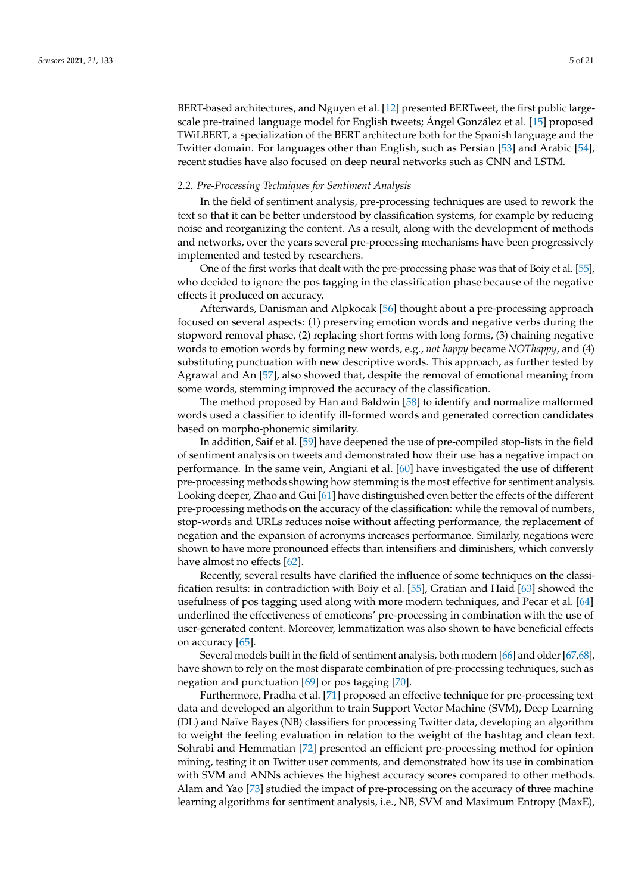BERT-based architectures, and Nguyen et al. [\[12\]](#page-16-11) presented BERTweet, the first public largescale pre-trained language model for English tweets; Ángel González et al. [\[15\]](#page-16-14) proposed TWiLBERT, a specialization of the BERT architecture both for the Spanish language and the Twitter domain. For languages other than English, such as Persian [\[53\]](#page-18-10) and Arabic [\[54\]](#page-18-11), recent studies have also focused on deep neural networks such as CNN and LSTM.

## <span id="page-4-0"></span>*2.2. Pre-Processing Techniques for Sentiment Analysis*

In the field of sentiment analysis, pre-processing techniques are used to rework the text so that it can be better understood by classification systems, for example by reducing noise and reorganizing the content. As a result, along with the development of methods and networks, over the years several pre-processing mechanisms have been progressively implemented and tested by researchers.

One of the first works that dealt with the pre-processing phase was that of Boiy et al. [\[55\]](#page-18-12), who decided to ignore the pos tagging in the classification phase because of the negative effects it produced on accuracy.

Afterwards, Danisman and Alpkocak [\[56\]](#page-18-13) thought about a pre-processing approach focused on several aspects: (1) preserving emotion words and negative verbs during the stopword removal phase, (2) replacing short forms with long forms, (3) chaining negative words to emotion words by forming new words, e.g., *not happy* became *NOThappy*, and (4) substituting punctuation with new descriptive words. This approach, as further tested by Agrawal and An [\[57\]](#page-18-14), also showed that, despite the removal of emotional meaning from some words, stemming improved the accuracy of the classification.

The method proposed by Han and Baldwin [\[58\]](#page-18-15) to identify and normalize malformed words used a classifier to identify ill-formed words and generated correction candidates based on morpho-phonemic similarity.

In addition, Saif et al. [\[59\]](#page-18-16) have deepened the use of pre-compiled stop-lists in the field of sentiment analysis on tweets and demonstrated how their use has a negative impact on performance. In the same vein, Angiani et al. [\[60\]](#page-18-17) have investigated the use of different pre-processing methods showing how stemming is the most effective for sentiment analysis. Looking deeper, Zhao and Gui [\[61\]](#page-18-18) have distinguished even better the effects of the different pre-processing methods on the accuracy of the classification: while the removal of numbers, stop-words and URLs reduces noise without affecting performance, the replacement of negation and the expansion of acronyms increases performance. Similarly, negations were shown to have more pronounced effects than intensifiers and diminishers, which conversly have almost no effects [\[62\]](#page-18-19).

Recently, several results have clarified the influence of some techniques on the classification results: in contradiction with Boiy et al. [\[55\]](#page-18-12), Gratian and Haid [\[63\]](#page-18-20) showed the usefulness of pos tagging used along with more modern techniques, and Pecar et al. [\[64\]](#page-18-21) underlined the effectiveness of emoticons' pre-processing in combination with the use of user-generated content. Moreover, lemmatization was also shown to have beneficial effects on accuracy [\[65\]](#page-18-22).

Several models built in the field of sentiment analysis, both modern [\[66\]](#page-19-0) and older [\[67](#page-19-1)[,68\]](#page-19-2), have shown to rely on the most disparate combination of pre-processing techniques, such as negation and punctuation [\[69\]](#page-19-3) or pos tagging [\[70\]](#page-19-4).

Furthermore, Pradha et al. [\[71\]](#page-19-5) proposed an effective technique for pre-processing text data and developed an algorithm to train Support Vector Machine (SVM), Deep Learning (DL) and Naïve Bayes (NB) classifiers for processing Twitter data, developing an algorithm to weight the feeling evaluation in relation to the weight of the hashtag and clean text. Sohrabi and Hemmatian [\[72\]](#page-19-6) presented an efficient pre-processing method for opinion mining, testing it on Twitter user comments, and demonstrated how its use in combination with SVM and ANNs achieves the highest accuracy scores compared to other methods. Alam and Yao [\[73\]](#page-19-7) studied the impact of pre-processing on the accuracy of three machine learning algorithms for sentiment analysis, i.e., NB, SVM and Maximum Entropy (MaxE),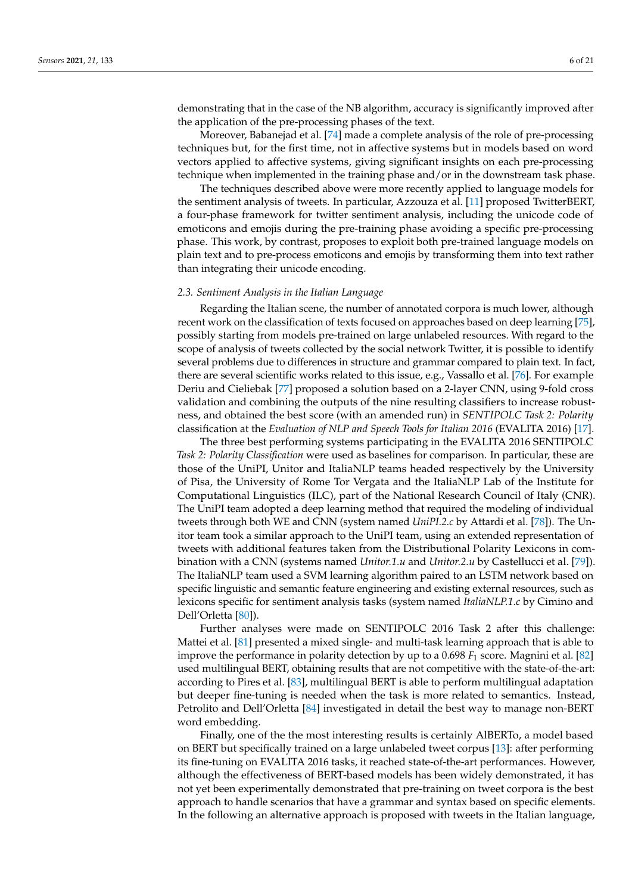demonstrating that in the case of the NB algorithm, accuracy is significantly improved after the application of the pre-processing phases of the text.

Moreover, Babanejad et al. [\[74\]](#page-19-8) made a complete analysis of the role of pre-processing techniques but, for the first time, not in affective systems but in models based on word vectors applied to affective systems, giving significant insights on each pre-processing technique when implemented in the training phase and/or in the downstream task phase.

The techniques described above were more recently applied to language models for the sentiment analysis of tweets. In particular, Azzouza et al. [\[11\]](#page-16-10) proposed TwitterBERT, a four-phase framework for twitter sentiment analysis, including the unicode code of emoticons and emojis during the pre-training phase avoiding a specific pre-processing phase. This work, by contrast, proposes to exploit both pre-trained language models on plain text and to pre-process emoticons and emojis by transforming them into text rather than integrating their unicode encoding.

#### <span id="page-5-0"></span>*2.3. Sentiment Analysis in the Italian Language*

Regarding the Italian scene, the number of annotated corpora is much lower, although recent work on the classification of texts focused on approaches based on deep learning [\[75\]](#page-19-9), possibly starting from models pre-trained on large unlabeled resources. With regard to the scope of analysis of tweets collected by the social network Twitter, it is possible to identify several problems due to differences in structure and grammar compared to plain text. In fact, there are several scientific works related to this issue, e.g., Vassallo et al. [\[76\]](#page-19-10). For example Deriu and Cieliebak [\[77\]](#page-19-11) proposed a solution based on a 2-layer CNN, using 9-fold cross validation and combining the outputs of the nine resulting classifiers to increase robustness, and obtained the best score (with an amended run) in *SENTIPOLC Task 2: Polarity* classification at the *Evaluation of NLP and Speech Tools for Italian 2016* (EVALITA 2016) [\[17\]](#page-16-16).

The three best performing systems participating in the EVALITA 2016 SENTIPOLC *Task 2: Polarity Classification* were used as baselines for comparison. In particular, these are those of the UniPI, Unitor and ItaliaNLP teams headed respectively by the University of Pisa, the University of Rome Tor Vergata and the ItaliaNLP Lab of the Institute for Computational Linguistics (ILC), part of the National Research Council of Italy (CNR). The UniPI team adopted a deep learning method that required the modeling of individual tweets through both WE and CNN (system named *UniPI.2.c* by Attardi et al. [\[78\]](#page-19-12)). The Unitor team took a similar approach to the UniPI team, using an extended representation of tweets with additional features taken from the Distributional Polarity Lexicons in combination with a CNN (systems named *Unitor.1.u* and *Unitor.2.u* by Castellucci et al. [\[79\]](#page-19-13)). The ItaliaNLP team used a SVM learning algorithm paired to an LSTM network based on specific linguistic and semantic feature engineering and existing external resources, such as lexicons specific for sentiment analysis tasks (system named *ItaliaNLP.1.c* by Cimino and Dell'Orletta [\[80\]](#page-19-14)).

Further analyses were made on SENTIPOLC 2016 Task 2 after this challenge: Mattei et al. [\[81\]](#page-19-15) presented a mixed single- and multi-task learning approach that is able to improve the performance in polarity detection by up to a 0.698 *F*<sup>1</sup> score. Magnini et al. [\[82\]](#page-19-16) used multilingual BERT, obtaining results that are not competitive with the state-of-the-art: according to Pires et al. [\[83\]](#page-19-17), multilingual BERT is able to perform multilingual adaptation but deeper fine-tuning is needed when the task is more related to semantics. Instead, Petrolito and Dell'Orletta [\[84\]](#page-19-18) investigated in detail the best way to manage non-BERT word embedding.

Finally, one of the the most interesting results is certainly AlBERTo, a model based on BERT but specifically trained on a large unlabeled tweet corpus [\[13\]](#page-16-12): after performing its fine-tuning on EVALITA 2016 tasks, it reached state-of-the-art performances. However, although the effectiveness of BERT-based models has been widely demonstrated, it has not yet been experimentally demonstrated that pre-training on tweet corpora is the best approach to handle scenarios that have a grammar and syntax based on specific elements. In the following an alternative approach is proposed with tweets in the Italian language,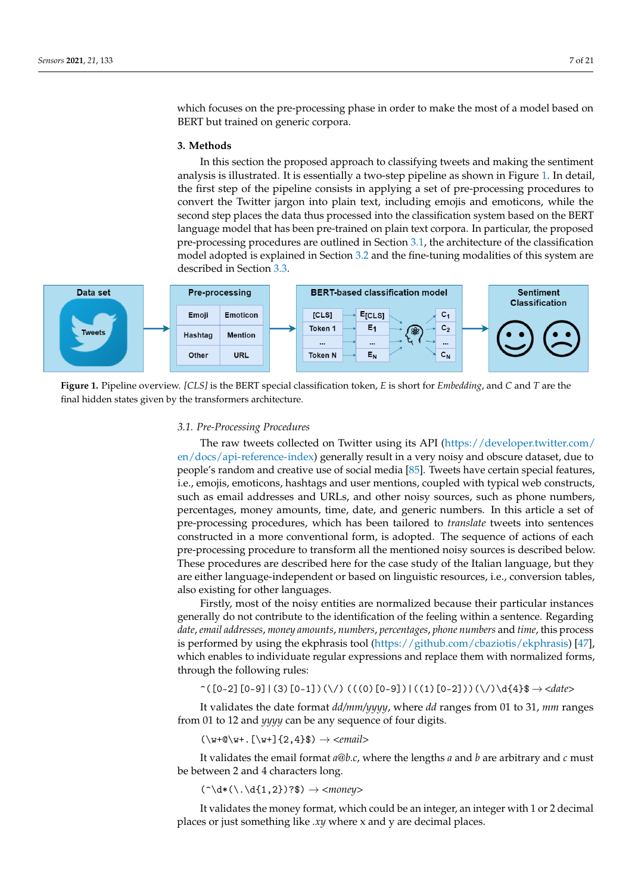which focuses on the pre-processing phase in order to make the most of a model based on BERT but trained on generic corpora.

#### <span id="page-6-0"></span>**3. Methods**

In this section the proposed approach to classifying tweets and making the sentiment analysis is illustrated. It is essentially a two-step pipeline as shown in Figure [1.](#page-6-1) In detail, the first step of the pipeline consists in applying a set of pre-processing procedures to convert the Twitter jargon into plain text, including emojis and emoticons, while the second step places the data thus processed into the classification system based on the BERT language model that has been pre-trained on plain text corpora. In particular, the proposed pre-processing procedures are outlined in Section [3.1,](#page-6-2) the architecture of the classification model adopted is explained in Section [3.2](#page-8-0) and the fine-tuning modalities of this system are described in Section [3.3.](#page-10-1)

<span id="page-6-1"></span>

**Figure 1.** Pipeline overview. *[CLS]* is the BERT special classification token, *E* is short for *Embedding*, and *C* and *T* are the final hidden states given by the transformers architecture.

#### <span id="page-6-2"></span>*3.1. Pre-Processing Procedures*

The raw tweets collected on Twitter using its API [\(https://developer.twitter.com/](https://developer.twitter.com/en/docs/api-reference-index) [en/docs/api-reference-index\)](https://developer.twitter.com/en/docs/api-reference-index) generally result in a very noisy and obscure dataset, due to people's random and creative use of social media [\[85\]](#page-19-19). Tweets have certain special features, i.e., emojis, emoticons, hashtags and user mentions, coupled with typical web constructs, such as email addresses and URLs, and other noisy sources, such as phone numbers, percentages, money amounts, time, date, and generic numbers. In this article a set of pre-processing procedures, which has been tailored to *translate* tweets into sentences constructed in a more conventional form, is adopted. The sequence of actions of each pre-processing procedure to transform all the mentioned noisy sources is described below. These procedures are described here for the case study of the Italian language, but they are either language-independent or based on linguistic resources, i.e., conversion tables, also existing for other languages.

Firstly, most of the noisy entities are normalized because their particular instances generally do not contribute to the identification of the feeling within a sentence. Regarding *date*, *email addresses*, *money amounts*, *numbers*, *percentages*, *phone numbers* and *time*, this process is performed by using the ekphrasis tool [\(https://github.com/cbaziotis/ekphrasis\)](https://github.com/cbaziotis/ekphrasis) [\[47\]](#page-18-4), which enables to individuate regular expressions and replace them with normalized forms, through the following rules:

 $\hat{\cup}$  ([0-2][0-9]|(3)[0-1])(\/) (((0)[0-9])|((1)[0-2]))(\/)\d{4}\$  $\rightarrow$  *<date>* 

It validates the date format *dd/mm/yyyy*, where *dd* ranges from 01 to 31, *mm* ranges from 01 to 12 and *yyyy* can be any sequence of four digits.

 $(\we \wedge w + [\we \wedge u + ] \{2,4\}\}) \rightarrow *email*$ 

It validates the email format *a@b.c*, where the lengths *a* and *b* are arbitrary and *c* must be between 2 and 4 characters long.

 $(\hat{\ } \cdot \ d * (\cdot \cdot \ d \{1,2\}) ?$   $\Rightarrow$   $\langle$  *money* 

It validates the money format, which could be an integer, an integer with 1 or 2 decimal places or just something like *.xy* where x and y are decimal places.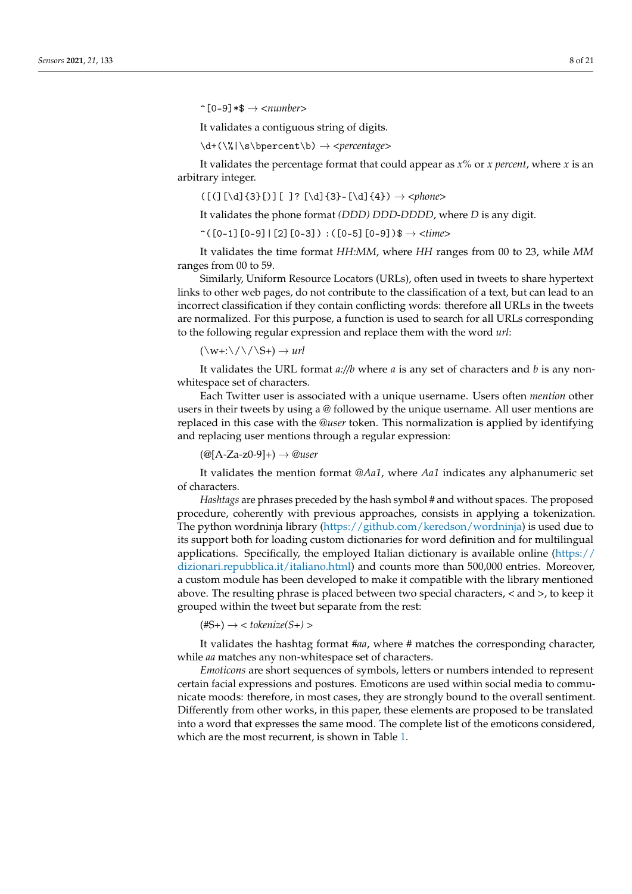$\hat{\rho}$ [0-9]\*\$  $\rightarrow$  *<number>* 

It validates a contiguous string of digits.

\d+(\%|\s\bpercent\b) → *<percentage>*

It validates the percentage format that could appear as *x%* or *x percent*, where *x* is an arbitrary integer.

([(][\d]{3}[)][ ]? [\d]{3}-[\d]{4}) → *<phone>*

It validates the phone format *(DDD) DDD-DDDD*, where *D* is any digit.

 $\hat{C}([0-1][0-9][2][0-3]) :([0-5][0-9])\$   $\rightarrow$   $\langle time \rangle$ 

It validates the time format *HH:MM*, where *HH* ranges from 00 to 23, while *MM* ranges from 00 to 59.

Similarly, Uniform Resource Locators (URLs), often used in tweets to share hypertext links to other web pages, do not contribute to the classification of a text, but can lead to an incorrect classification if they contain conflicting words: therefore all URLs in the tweets are normalized. For this purpose, a function is used to search for all URLs corresponding to the following regular expression and replace them with the word *url*:

 $(\wedge w + \wedge / \wedge / S+) \rightarrow url$ 

It validates the URL format *a://b* where *a* is any set of characters and *b* is any nonwhitespace set of characters.

Each Twitter user is associated with a unique username. Users often *mention* other users in their tweets by using a *@* followed by the unique username. All user mentions are replaced in this case with the *@user* token. This normalization is applied by identifying and replacing user mentions through a regular expression:

(@[A-Za-z0-9]+) → *@user*

It validates the mention format *@Aa1*, where *Aa1* indicates any alphanumeric set of characters.

*Hashtags* are phrases preceded by the hash symbol *#* and without spaces. The proposed procedure, coherently with previous approaches, consists in applying a tokenization. The python wordninja library [\(https://github.com/keredson/wordninja\)](https://github.com/keredson/wordninja) is used due to its support both for loading custom dictionaries for word definition and for multilingual applications. Specifically, the employed Italian dictionary is available online [\(https://](https://dizionari.repubblica.it/italiano.html) [dizionari.repubblica.it/italiano.html\)](https://dizionari.repubblica.it/italiano.html) and counts more than 500,000 entries. Moreover, a custom module has been developed to make it compatible with the library mentioned above. The resulting phrase is placed between two special characters, *<* and *>*, to keep it grouped within the tweet but separate from the rest:

 $(\text{#S+}) \rightarrow < \text{tokenize}(S+) >$ 

It validates the hashtag format *#aa*, where *#* matches the corresponding character, while *aa* matches any non-whitespace set of characters.

*Emoticons* are short sequences of symbols, letters or numbers intended to represent certain facial expressions and postures. Emoticons are used within social media to communicate moods: therefore, in most cases, they are strongly bound to the overall sentiment. Differently from other works, in this paper, these elements are proposed to be translated into a word that expresses the same mood. The complete list of the emoticons considered, which are the most recurrent, is shown in Table [1.](#page-8-1)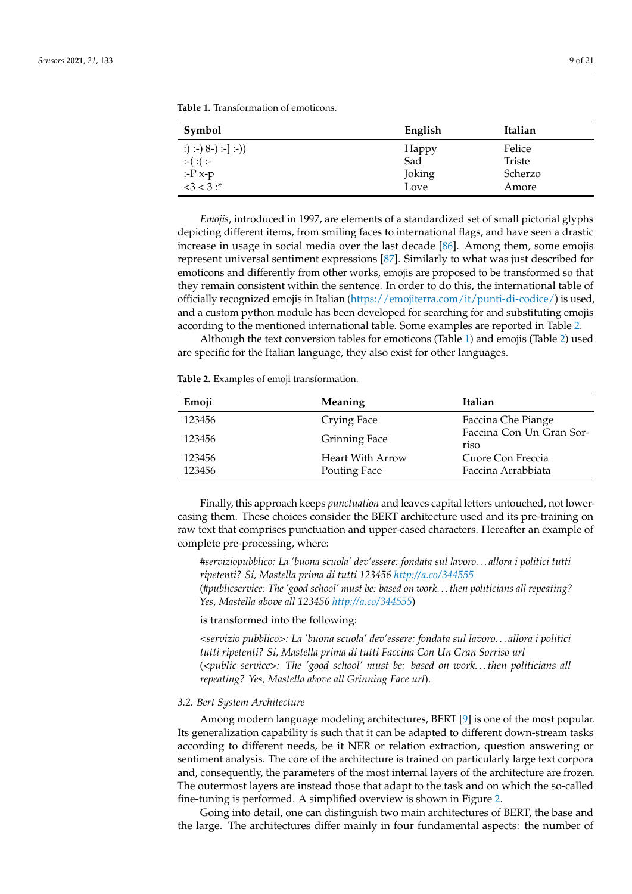| Symbol                 | English | Italian       |
|------------------------|---------|---------------|
| :) :-) $8-$ ) :-] :-)) | Happy   | Felice        |
| $:-( : ( : -$          | Sad     | <b>Triste</b> |
| $: P \times p$         | Joking  | Scherzo       |
| $<3 < 3:$ *            | Love    | Amore         |

<span id="page-8-1"></span>**Table 1.** Transformation of emoticons.

*Emojis*, introduced in 1997, are elements of a standardized set of small pictorial glyphs depicting different items, from smiling faces to international flags, and have seen a drastic increase in usage in social media over the last decade [\[86\]](#page-20-0). Among them, some emojis represent universal sentiment expressions [\[87\]](#page-20-1). Similarly to what was just described for emoticons and differently from other works, emojis are proposed to be transformed so that they remain consistent within the sentence. In order to do this, the international table of officially recognized emojis in Italian [\(https://emojiterra.com/it/punti-di-codice/\)](https://emojiterra.com/it/punti-di-codice/) is used, and a custom python module has been developed for searching for and substituting emojis according to the mentioned international table. Some examples are reported in Table [2.](#page-8-2)

Although the text conversion tables for emoticons (Table [1\)](#page-8-1) and emojis (Table [2\)](#page-8-2) used are specific for the Italian language, they also exist for other languages.

<span id="page-8-2"></span>**Table 2.** Examples of emoji transformation.

| Emoji            | Meaning                 | Italian                                 |
|------------------|-------------------------|-----------------------------------------|
| 123456           | Crying Face             | Faccina Che Piange                      |
| 123456           | <b>Grinning Face</b>    | Faccina Con Un Gran Sor-<br>riso        |
| 123456<br>123456 | <b>Heart With Arrow</b> | Cuore Con Freccia<br>Faccina Arrabbiata |
|                  | Pouting Face            |                                         |

Finally, this approach keeps *punctuation* and leaves capital letters untouched, not lowercasing them. These choices consider the BERT architecture used and its pre-training on raw text that comprises punctuation and upper-cased characters. Hereafter an example of complete pre-processing, where:

*#serviziopubblico: La 'buona scuola' dev'essere: fondata sul lavoro. . . allora i politici tutti ripetenti? Si, Mastella prima di tutti 123456 <http://a.co/344555>* (*#publicservice: The 'good school' must be: based on work. . . then politicians all repeating? Yes, Mastella above all 123456 <http://a.co/344555>*)

is transformed into the following:

*<servizio pubblico>: La 'buona scuola' dev'essere: fondata sul lavoro. . . allora i politici tutti ripetenti? Si, Mastella prima di tutti Faccina Con Un Gran Sorriso url* (*<public service>: The 'good school' must be: based on work. . . then politicians all repeating? Yes, Mastella above all Grinning Face url*).

## <span id="page-8-0"></span>*3.2. Bert System Architecture*

Among modern language modeling architectures, BERT [\[9\]](#page-16-8) is one of the most popular. Its generalization capability is such that it can be adapted to different down-stream tasks according to different needs, be it NER or relation extraction, question answering or sentiment analysis. The core of the architecture is trained on particularly large text corpora and, consequently, the parameters of the most internal layers of the architecture are frozen. The outermost layers are instead those that adapt to the task and on which the so-called fine-tuning is performed. A simplified overview is shown in Figure [2.](#page-9-0)

Going into detail, one can distinguish two main architectures of BERT, the base and the large. The architectures differ mainly in four fundamental aspects: the number of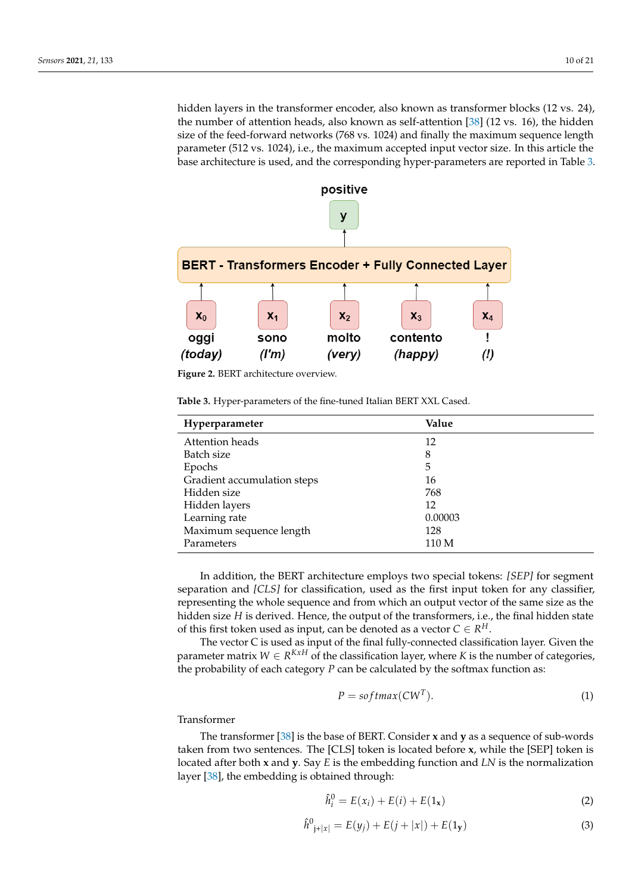hidden layers in the transformer encoder, also known as transformer blocks (12 vs. 24), the number of attention heads, also known as self-attention [\[38\]](#page-17-18) (12 vs. 16), the hidden size of the feed-forward networks (768 vs. 1024) and finally the maximum sequence length parameter (512 vs. 1024), i.e., the maximum accepted input vector size. In this article the base architecture is used, and the corresponding hyper-parameters are reported in Table [3.](#page-9-1)

<span id="page-9-0"></span>

**Figure 2.** BERT architecture overview.

<span id="page-9-1"></span>**Table 3.** Hyper-parameters of the fine-tuned Italian BERT XXL Cased.

| Hyperparameter              | Value   |
|-----------------------------|---------|
| Attention heads             | 12      |
| Batch size                  | 8       |
| Epochs                      | 5       |
| Gradient accumulation steps | 16      |
| Hidden size                 | 768     |
| Hidden layers               | 12      |
| Learning rate               | 0.00003 |
| Maximum sequence length     | 128     |
| Parameters                  | 110 M   |

In addition, the BERT architecture employs two special tokens: *[SEP]* for segment separation and *[CLS]* for classification, used as the first input token for any classifier, representing the whole sequence and from which an output vector of the same size as the hidden size *H* is derived. Hence, the output of the transformers, i.e., the final hidden state of this first token used as input, can be denoted as a vector  $C \in R^H$ .

The vector C is used as input of the final fully-connected classification layer. Given the parameter matrix  $W \in R^{KxH}$  of the classification layer, where K is the number of categories, the probability of each category *P* can be calculated by the softmax function as:

$$
P = softmax(CWT).
$$
 (1)

Transformer

The transformer [\[38\]](#page-17-18) is the base of BERT. Consider **x** and **y** as a sequence of sub-words taken from two sentences. The [CLS] token is located before **x**, while the [SEP] token is located after both **x** and **y**. Say *E* is the embedding function and *LN* is the normalization layer [\[38\]](#page-17-18), the embedding is obtained through:

$$
\hat{h}_i^0 = E(x_i) + E(i) + E(1_x)
$$
\n(2)

$$
\hat{h}_{j+|x|}^{0} = E(y_j) + E(j+|x|) + E(1_{\mathbf{y}})
$$
\n(3)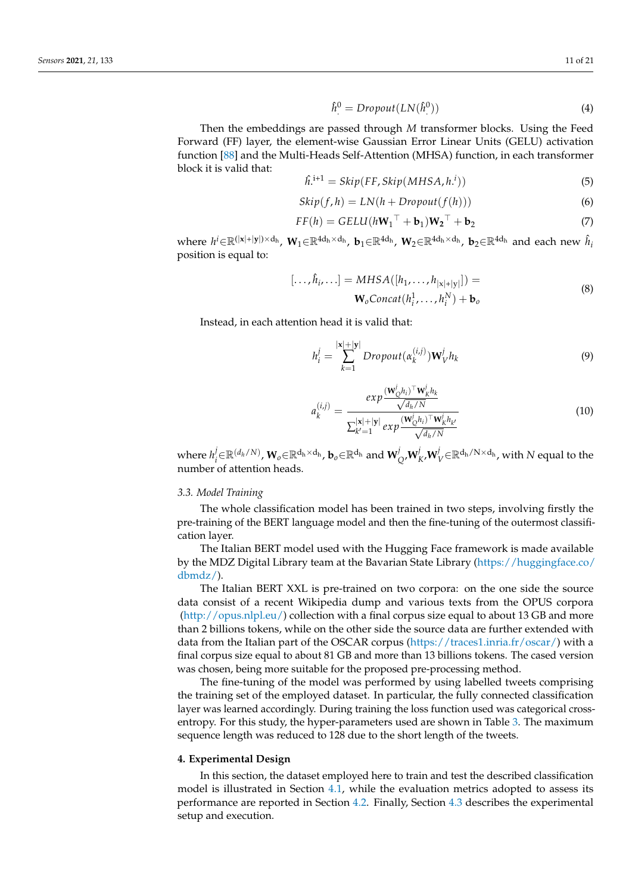$$
\hat{h}^0 = Dropout(LN(\hat{h}^0))
$$
\n(4)

Then the embeddings are passed through *M* transformer blocks. Using the Feed Forward (FF) layer, the element-wise Gaussian Error Linear Units (GELU) activation function [\[88\]](#page-20-2) and the Multi-Heads Self-Attention (MHSA) function, in each transformer block it is valid that:

$$
\hat{h}^{i+1} = \text{skip}(\text{FF}, \text{skip}(\text{MHSA}, h^i))
$$
\n<sup>(5)</sup>

$$
Skip(f, h) = LN(h + Dropout(f(h)))
$$
\n(6)

$$
FF(h) = GELU(hW_1^\top + \mathbf{b}_1)W_2^\top + \mathbf{b}_2
$$
\n<sup>(7)</sup>

where  $h^i ∈ ℝ^{(|\mathbf{x}|+|\mathbf{y}|) × d_h}$ ,  $\mathbf{W}_1 ∈ ℝ^{4d_h × d_h}$ ,  $\mathbf{b}_1 ∈ ℝ^{4d_h}$ ,  $\mathbf{W}_2 ∈ ℝ^{4d_h × d_h}$ ,  $\mathbf{b}_2 ∈ ℝ^{4d_h}$  and each new  $\hat{h}_i$ position is equal to:

$$
[\ldots, \hat{h}_i, \ldots] = MHSA([h_1, \ldots, h_{|x|+|y|}]) =
$$
  

$$
\mathbf{W}_oConcat(h_i^1, \ldots, h_i^N) + \mathbf{b}_o
$$
 (8)

Instead, in each attention head it is valid that:

$$
h_i^j = \sum_{k=1}^{|\mathbf{x}|+|\mathbf{y}|} Dropout(\alpha_k^{(i,j)}) \mathbf{W}_V^j h_k
$$
 (9)

$$
a_k^{(i,j)} = \frac{exp(\frac{(\mathbf{W}_Q^j h_i)^{\top} \mathbf{W}_k^j h_k}{\sqrt{d_h/N}})}{\sum_{k'=1}^{|\mathbf{x}|+|\mathbf{y}|} exp(\frac{(\mathbf{W}_Q^j h_i)^{\top} \mathbf{W}_k^j h_{k'}}{\sqrt{d_h/N}}}
$$
(10)

where  $h_i^j$  $\bm{W}_i^j$ E $\mathbb{R}^{(d_h/N)}$ ,  $\mathbf{W}_o$ E $\mathbb{R}^{d_h \times d_h}$ ,  $\mathbf{b}_o$ E $\mathbb{R}^{d_h}$  and  $\mathbf{W}_0^j$  $\stackrel{j}{\phantom{\Big(}}_Q$ , $\bf{W}^j_l$  $_{K^{\prime}}^{j}$ W $_{V}^{j}$ ∈ $\mathbb{R}^{\mathsf{d}_{\text{h}}/ \text{N} \times \mathsf{d}_{\text{h}}}$ , with  $N$  equal to the number of attention heads.

## <span id="page-10-1"></span>*3.3. Model Training*

The whole classification model has been trained in two steps, involving firstly the pre-training of the BERT language model and then the fine-tuning of the outermost classification layer.

The Italian BERT model used with the Hugging Face framework is made available by the MDZ Digital Library team at the Bavarian State Library [\(https://huggingface.co/](https://huggingface.co/dbmdz/) [dbmdz/\)](https://huggingface.co/dbmdz/).

The Italian BERT XXL is pre-trained on two corpora: on the one side the source data consist of a recent Wikipedia dump and various texts from the OPUS corpora [\(http://opus.nlpl.eu/\)](http://opus.nlpl.eu/) collection with a final corpus size equal to about 13 GB and more than 2 billions tokens, while on the other side the source data are further extended with data from the Italian part of the OSCAR corpus [\(https://traces1.inria.fr/oscar/\)](https://traces1.inria.fr/oscar/) with a final corpus size equal to about 81 GB and more than 13 billions tokens. The cased version was chosen, being more suitable for the proposed pre-processing method.

The fine-tuning of the model was performed by using labelled tweets comprising the training set of the employed dataset. In particular, the fully connected classification layer was learned accordingly. During training the loss function used was categorical crossentropy. For this study, the hyper-parameters used are shown in Table [3.](#page-9-1) The maximum sequence length was reduced to 128 due to the short length of the tweets.

## <span id="page-10-0"></span>**4. Experimental Design**

In this section, the dataset employed here to train and test the described classification model is illustrated in Section [4.1,](#page-11-0) while the evaluation metrics adopted to assess its performance are reported in Section [4.2.](#page-12-0) Finally, Section [4.3](#page-12-1) describes the experimental setup and execution.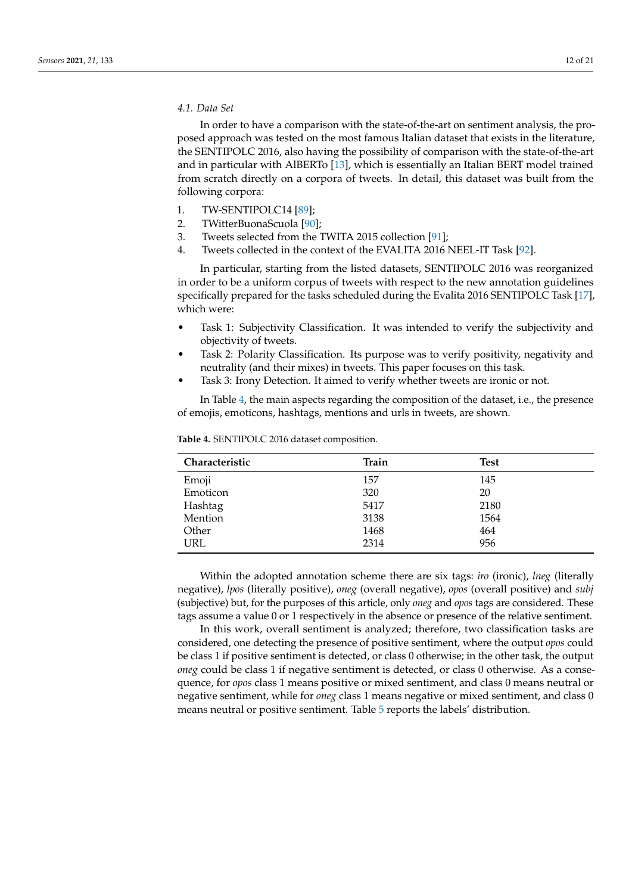## <span id="page-11-0"></span>*4.1. Data Set*

In order to have a comparison with the state-of-the-art on sentiment analysis, the proposed approach was tested on the most famous Italian dataset that exists in the literature, the SENTIPOLC 2016, also having the possibility of comparison with the state-of-the-art and in particular with AlBERTo [\[13\]](#page-16-12), which is essentially an Italian BERT model trained from scratch directly on a corpora of tweets. In detail, this dataset was built from the following corpora:

- 1. TW-SENTIPOLC14 [\[89\]](#page-20-3);
- 2. TWitterBuonaScuola [\[90\]](#page-20-4);
- 3. Tweets selected from the TWITA 2015 collection [\[91\]](#page-20-5);
- 4. Tweets collected in the context of the EVALITA 2016 NEEL-IT Task [\[92\]](#page-20-6).

In particular, starting from the listed datasets, SENTIPOLC 2016 was reorganized in order to be a uniform corpus of tweets with respect to the new annotation guidelines specifically prepared for the tasks scheduled during the Evalita 2016 SENTIPOLC Task [\[17\]](#page-16-16), which were:

- Task 1: Subjectivity Classification. It was intended to verify the subjectivity and objectivity of tweets.
- Task 2: Polarity Classification. Its purpose was to verify positivity, negativity and neutrality (and their mixes) in tweets. This paper focuses on this task.
- Task 3: Irony Detection. It aimed to verify whether tweets are ironic or not.

In Table [4,](#page-11-1) the main aspects regarding the composition of the dataset, i.e., the presence of emojis, emoticons, hashtags, mentions and urls in tweets, are shown.

| Characteristic | Train | <b>Test</b> |  |
|----------------|-------|-------------|--|
| Emoji          | 157   | 145         |  |
| Emoticon       | 320   | 20          |  |
| Hashtag        | 5417  | 2180        |  |
| Mention        | 3138  | 1564        |  |
| Other          | 1468  | 464         |  |
| URL            | 2314  | 956         |  |

<span id="page-11-1"></span>**Table 4.** SENTIPOLC 2016 dataset composition.

Within the adopted annotation scheme there are six tags: *iro* (ironic), *lneg* (literally negative), *lpos* (literally positive), *oneg* (overall negative), *opos* (overall positive) and *subj* (subjective) but, for the purposes of this article, only *oneg* and *opos* tags are considered. These tags assume a value 0 or 1 respectively in the absence or presence of the relative sentiment.

In this work, overall sentiment is analyzed; therefore, two classification tasks are considered, one detecting the presence of positive sentiment, where the output *opos* could be class 1 if positive sentiment is detected, or class 0 otherwise; in the other task, the output *oneg* could be class 1 if negative sentiment is detected, or class 0 otherwise. As a consequence, for *opos* class 1 means positive or mixed sentiment, and class 0 means neutral or negative sentiment, while for *oneg* class 1 means negative or mixed sentiment, and class 0 means neutral or positive sentiment. Table [5](#page-12-2) reports the labels' distribution.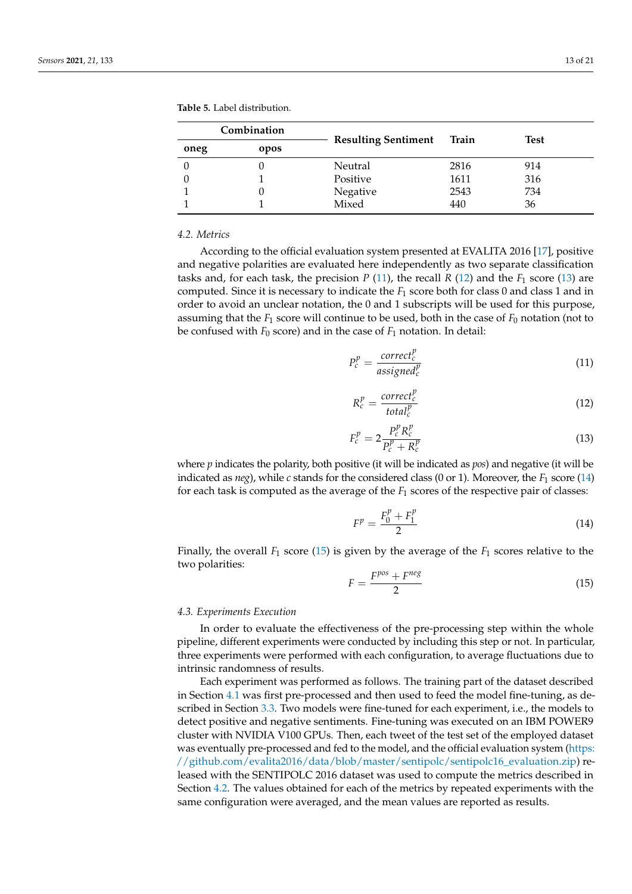|          | Combination | <b>Resulting Sentiment</b> | Train | Test |  |  |
|----------|-------------|----------------------------|-------|------|--|--|
| oneg     | opos        |                            |       |      |  |  |
| $\Omega$ |             | Neutral                    | 2816  | 914  |  |  |
| $\theta$ |             | Positive                   | 1611  | 316  |  |  |
|          | U           | Negative                   | 2543  | 734  |  |  |
|          |             | Mixed                      | 440   | 36   |  |  |

<span id="page-12-2"></span>**Table 5.** Label distribution.

#### <span id="page-12-0"></span>*4.2. Metrics*

According to the official evaluation system presented at EVALITA 2016 [\[17\]](#page-16-16), positive and negative polarities are evaluated here independently as two separate classification tasks and, for each task, the precision  $P(11)$  $P(11)$ , the recall  $R(12)$  $R(12)$  and the  $F_1$  score [\(13\)](#page-12-5) are computed. Since it is necessary to indicate the *F*<sup>1</sup> score both for class 0 and class 1 and in order to avoid an unclear notation, the 0 and 1 subscripts will be used for this purpose, assuming that the  $F_1$  score will continue to be used, both in the case of  $F_0$  notation (not to be confused with  $F_0$  score) and in the case of  $F_1$  notation. In detail:

<span id="page-12-3"></span>
$$
P_c^p = \frac{correct_c^p}{assigned_c^p}
$$
 (11)

<span id="page-12-4"></span>
$$
R_c^p = \frac{correct_c^p}{total_c^p} \tag{12}
$$

<span id="page-12-5"></span>
$$
F_c^p = 2 \frac{P_c^p R_c^p}{P_c^p + R_c^p}
$$
 (13)

where *p* indicates the polarity, both positive (it will be indicated as *pos*) and negative (it will be indicated as  $neg$ , while *c* stands for the considered class (0 or 1). Moreover, the  $F_1$  score [\(14\)](#page-12-6) for each task is computed as the average of the *F*<sup>1</sup> scores of the respective pair of classes:

<span id="page-12-6"></span>
$$
F^p = \frac{F_0^p + F_1^p}{2} \tag{14}
$$

Finally, the overall *F*<sup>1</sup> score [\(15\)](#page-12-7) is given by the average of the *F*<sup>1</sup> scores relative to the two polarities:

<span id="page-12-7"></span>
$$
F = \frac{F^{pos} + F^{neg}}{2} \tag{15}
$$

#### <span id="page-12-1"></span>*4.3. Experiments Execution*

In order to evaluate the effectiveness of the pre-processing step within the whole pipeline, different experiments were conducted by including this step or not. In particular, three experiments were performed with each configuration, to average fluctuations due to intrinsic randomness of results.

Each experiment was performed as follows. The training part of the dataset described in Section [4.1](#page-11-0) was first pre-processed and then used to feed the model fine-tuning, as described in Section [3.3.](#page-10-1) Two models were fine-tuned for each experiment, i.e., the models to detect positive and negative sentiments. Fine-tuning was executed on an IBM POWER9 cluster with NVIDIA V100 GPUs. Then, each tweet of the test set of the employed dataset was eventually pre-processed and fed to the model, and the official evaluation system [\(https:](https://github.com/evalita2016/data/blob/master/sentipolc/sentipolc16_evaluation.zip) [//github.com/evalita2016/data/blob/master/sentipolc/sentipolc16\\_evaluation.zip\)](https://github.com/evalita2016/data/blob/master/sentipolc/sentipolc16_evaluation.zip) released with the SENTIPOLC 2016 dataset was used to compute the metrics described in Section [4.2.](#page-12-0) The values obtained for each of the metrics by repeated experiments with the same configuration were averaged, and the mean values are reported as results.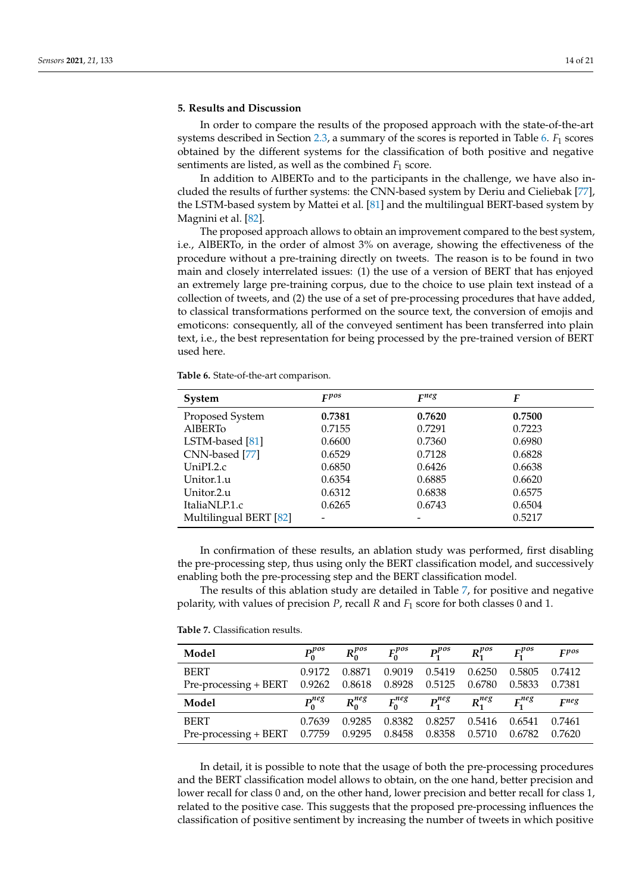## <span id="page-13-0"></span>**5. Results and Discussion**

In order to compare the results of the proposed approach with the state-of-the-art systems described in Section [2.3,](#page-5-0) a summary of the scores is reported in Table [6.](#page-13-1) *F*<sup>1</sup> scores obtained by the different systems for the classification of both positive and negative sentiments are listed, as well as the combined  $F_1$  score.

In addition to AlBERTo and to the participants in the challenge, we have also included the results of further systems: the CNN-based system by Deriu and Cieliebak [\[77\]](#page-19-11), the LSTM-based system by Mattei et al. [\[81\]](#page-19-15) and the multilingual BERT-based system by Magnini et al. [\[82\]](#page-19-16).

The proposed approach allows to obtain an improvement compared to the best system, i.e., AlBERTo, in the order of almost 3% on average, showing the effectiveness of the procedure without a pre-training directly on tweets. The reason is to be found in two main and closely interrelated issues: (1) the use of a version of BERT that has enjoyed an extremely large pre-training corpus, due to the choice to use plain text instead of a collection of tweets, and (2) the use of a set of pre-processing procedures that have added, to classical transformations performed on the source text, the conversion of emojis and emoticons: consequently, all of the conveyed sentiment has been transferred into plain text, i.e., the best representation for being processed by the pre-trained version of BERT used here.

<span id="page-13-1"></span>**Table 6.** State-of-the-art comparison.

| System                 | Fpos   | F <sub>neg</sub> | F      |
|------------------------|--------|------------------|--------|
| Proposed System        | 0.7381 | 0.7620           | 0.7500 |
| <b>AIBERTO</b>         | 0.7155 | 0.7291           | 0.7223 |
| LSTM-based [81]        | 0.6600 | 0.7360           | 0.6980 |
| CNN-based [77]         | 0.6529 | 0.7128           | 0.6828 |
| UniPI.2.c              | 0.6850 | 0.6426           | 0.6638 |
| Unitor.1.u             | 0.6354 | 0.6885           | 0.6620 |
| Unitor.2.u             | 0.6312 | 0.6838           | 0.6575 |
| ItaliaNLP.1.c          | 0.6265 | 0.6743           | 0.6504 |
| Multilingual BERT [82] |        |                  | 0.5217 |

In confirmation of these results, an ablation study was performed, first disabling the pre-processing step, thus using only the BERT classification model, and successively enabling both the pre-processing step and the BERT classification model.

The results of this ablation study are detailed in Table [7,](#page-13-2) for positive and negative polarity, with values of precision *P*, recall *R* and *F*<sup>1</sup> score for both classes 0 and 1.

<span id="page-13-2"></span>**Table 7.** Classification results.

| Model                          | $P_0^{pos}$ | $R_0^{pos}$ | $F_0^{pos}$ | $P_1^{pos}$ | $R_1^{pos}$ | $F_1^{pos}$ | Fpos      |
|--------------------------------|-------------|-------------|-------------|-------------|-------------|-------------|-----------|
| <b>BERT</b>                    | 0.9172      | 0.8871      | 0.9019      | 0.5419      | 0.6250      | 0.5805      | 0.7412    |
| Pre-processing + BERT $0.9262$ |             | 0.8618      | 0.8928      | 0.5125      | 0.6780      | 0.5833      | 0.7381    |
| Model                          | $P_0^{neg}$ | $R_0^{neg}$ | $F_0^{neg}$ | $P_1^{neg}$ | $R_1^{neg}$ | $F_1^{neg}$ | $F^{neg}$ |
| <b>BERT</b>                    | 0.7639      | 0.9285      | 0.8382      | 0.8257      | 0.5416      | 0.6541      | 0.7461    |
| Pre-processing + BERT $0.7759$ |             | 0.9295      | 0.8458      | 0.8358      | 0.5710      | 0.6782      | 0.7620    |

In detail, it is possible to note that the usage of both the pre-processing procedures and the BERT classification model allows to obtain, on the one hand, better precision and lower recall for class 0 and, on the other hand, lower precision and better recall for class 1, related to the positive case. This suggests that the proposed pre-processing influences the classification of positive sentiment by increasing the number of tweets in which positive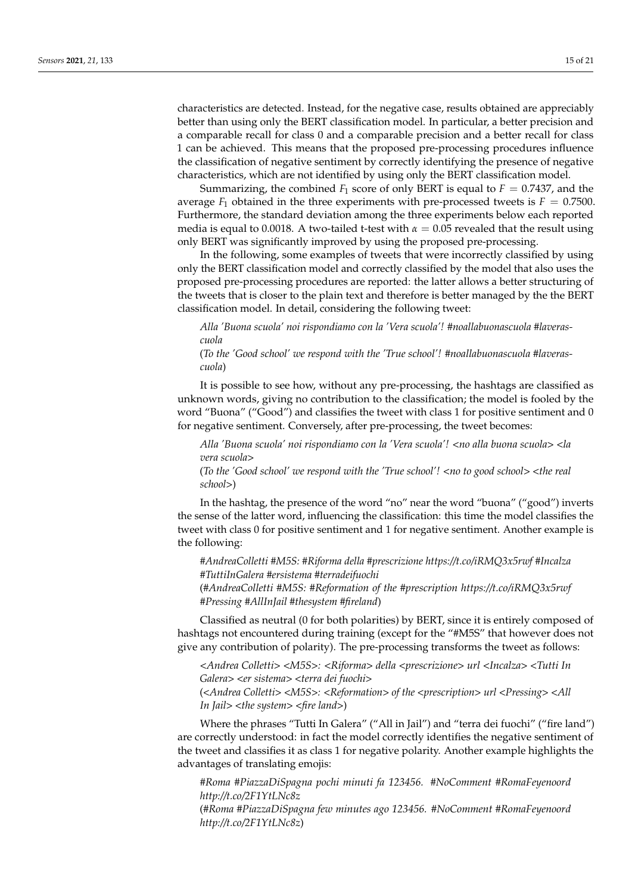characteristics are detected. Instead, for the negative case, results obtained are appreciably better than using only the BERT classification model. In particular, a better precision and a comparable recall for class 0 and a comparable precision and a better recall for class 1 can be achieved. This means that the proposed pre-processing procedures influence the classification of negative sentiment by correctly identifying the presence of negative characteristics, which are not identified by using only the BERT classification model.

Summarizing, the combined  $F_1$  score of only BERT is equal to  $F = 0.7437$ , and the average  $F_1$  obtained in the three experiments with pre-processed tweets is  $F = 0.7500$ . Furthermore, the standard deviation among the three experiments below each reported media is equal to 0.0018. A two-tailed t-test with  $\alpha = 0.05$  revealed that the result using only BERT was significantly improved by using the proposed pre-processing.

In the following, some examples of tweets that were incorrectly classified by using only the BERT classification model and correctly classified by the model that also uses the proposed pre-processing procedures are reported: the latter allows a better structuring of the tweets that is closer to the plain text and therefore is better managed by the the BERT classification model. In detail, considering the following tweet:

*Alla 'Buona scuola' noi rispondiamo con la 'Vera scuola'! #noallabuonascuola #laverascuola*

(*To the 'Good school' we respond with the 'True school'! #noallabuonascuola #laverascuola*)

It is possible to see how, without any pre-processing, the hashtags are classified as unknown words, giving no contribution to the classification; the model is fooled by the word "Buona" ("Good") and classifies the tweet with class 1 for positive sentiment and 0 for negative sentiment. Conversely, after pre-processing, the tweet becomes:

*Alla 'Buona scuola' noi rispondiamo con la 'Vera scuola'! <no alla buona scuola> <la vera scuola>*

(*To the 'Good school' we respond with the 'True school'! <no to good school> <the real school>*)

In the hashtag, the presence of the word "no" near the word "buona" ("good") inverts the sense of the latter word, influencing the classification: this time the model classifies the tweet with class 0 for positive sentiment and 1 for negative sentiment. Another example is the following:

*#AndreaColletti #M5S: #Riforma della #prescrizione https://t.co/iRMQ3x5rwf #Incalza #TuttiInGalera #ersistema #terradeifuochi*

(*#AndreaColletti #M5S: #Reformation of the #prescription https://t.co/iRMQ3x5rwf #Pressing #AllInJail #thesystem #fireland*)

Classified as neutral (0 for both polarities) by BERT, since it is entirely composed of hashtags not encountered during training (except for the "#M5S" that however does not give any contribution of polarity). The pre-processing transforms the tweet as follows:

*<Andrea Colletti> <M5S>: <Riforma> della <prescrizione> url <Incalza> <Tutti In Galera> <er sistema> <terra dei fuochi>*

(*<Andrea Colletti> <M5S>: <Reformation> of the <prescription> url <Pressing> <All In Jail> <the system> <fire land>*)

Where the phrases "Tutti In Galera" ("All in Jail") and "terra dei fuochi" ("fire land") are correctly understood: in fact the model correctly identifies the negative sentiment of the tweet and classifies it as class 1 for negative polarity. Another example highlights the advantages of translating emojis:

*#Roma #PiazzaDiSpagna pochi minuti fa 123456. #NoComment #RomaFeyenoord http://t.co/2F1YtLNc8z*

(*#Roma #PiazzaDiSpagna few minutes ago 123456. #NoComment #RomaFeyenoord http://t.co/2F1YtLNc8z*)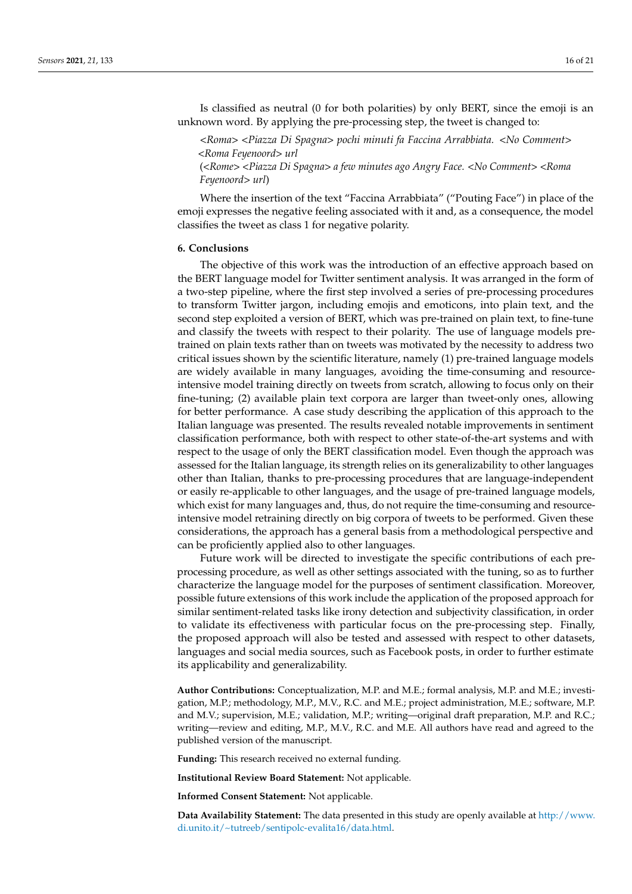Is classified as neutral (0 for both polarities) by only BERT, since the emoji is an unknown word. By applying the pre-processing step, the tweet is changed to:

*<Roma> <Piazza Di Spagna> pochi minuti fa Faccina Arrabbiata. <No Comment> <Roma Feyenoord> url* (*<Rome> <Piazza Di Spagna> a few minutes ago Angry Face. <No Comment> <Roma*

*Feyenoord> url*) Where the insertion of the text "Faccina Arrabbiata" ("Pouting Face") in place of the emoji expresses the negative feeling associated with it and, as a consequence, the model

#### <span id="page-15-0"></span>**6. Conclusions**

classifies the tweet as class 1 for negative polarity.

The objective of this work was the introduction of an effective approach based on the BERT language model for Twitter sentiment analysis. It was arranged in the form of a two-step pipeline, where the first step involved a series of pre-processing procedures to transform Twitter jargon, including emojis and emoticons, into plain text, and the second step exploited a version of BERT, which was pre-trained on plain text, to fine-tune and classify the tweets with respect to their polarity. The use of language models pretrained on plain texts rather than on tweets was motivated by the necessity to address two critical issues shown by the scientific literature, namely (1) pre-trained language models are widely available in many languages, avoiding the time-consuming and resourceintensive model training directly on tweets from scratch, allowing to focus only on their fine-tuning; (2) available plain text corpora are larger than tweet-only ones, allowing for better performance. A case study describing the application of this approach to the Italian language was presented. The results revealed notable improvements in sentiment classification performance, both with respect to other state-of-the-art systems and with respect to the usage of only the BERT classification model. Even though the approach was assessed for the Italian language, its strength relies on its generalizability to other languages other than Italian, thanks to pre-processing procedures that are language-independent or easily re-applicable to other languages, and the usage of pre-trained language models, which exist for many languages and, thus, do not require the time-consuming and resourceintensive model retraining directly on big corpora of tweets to be performed. Given these considerations, the approach has a general basis from a methodological perspective and can be proficiently applied also to other languages.

Future work will be directed to investigate the specific contributions of each preprocessing procedure, as well as other settings associated with the tuning, so as to further characterize the language model for the purposes of sentiment classification. Moreover, possible future extensions of this work include the application of the proposed approach for similar sentiment-related tasks like irony detection and subjectivity classification, in order to validate its effectiveness with particular focus on the pre-processing step. Finally, the proposed approach will also be tested and assessed with respect to other datasets, languages and social media sources, such as Facebook posts, in order to further estimate its applicability and generalizability.

**Author Contributions:** Conceptualization, M.P. and M.E.; formal analysis, M.P. and M.E.; investigation, M.P.; methodology, M.P., M.V., R.C. and M.E.; project administration, M.E.; software, M.P. and M.V.; supervision, M.E.; validation, M.P.; writing—original draft preparation, M.P. and R.C.; writing—review and editing, M.P., M.V., R.C. and M.E. All authors have read and agreed to the published version of the manuscript.

**Funding:** This research received no external funding.

**Institutional Review Board Statement:** Not applicable.

**Informed Consent Statement:** Not applicable.

**Data Availability Statement:** The data presented in this study are openly available at [http://www.](http://www.di.unito.it/~tutreeb/sentipolc-evalita16/data.html) [di.unito.it/~tutreeb/sentipolc-evalita16/data.html.](http://www.di.unito.it/~tutreeb/sentipolc-evalita16/data.html)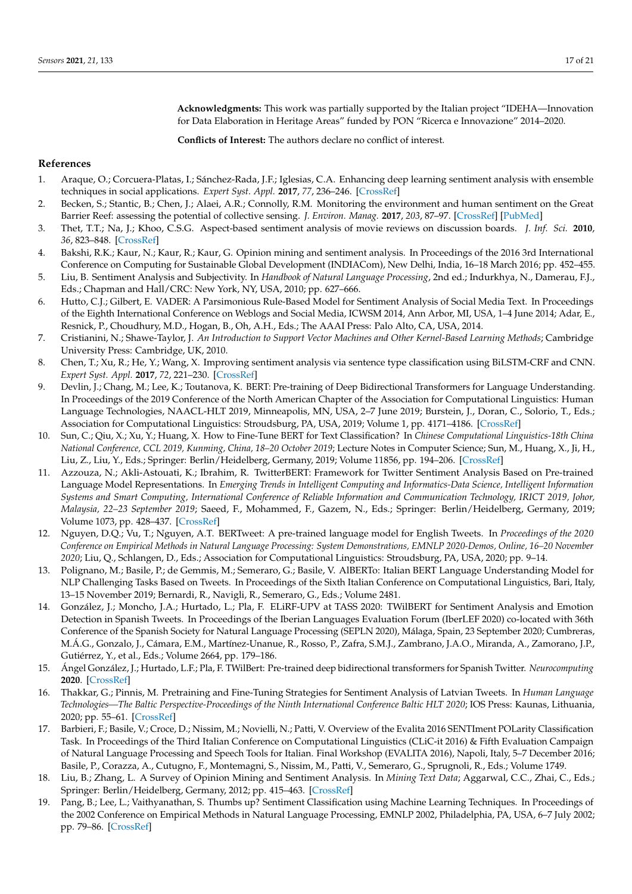**Acknowledgments:** This work was partially supported by the Italian project "IDEHA—Innovation for Data Elaboration in Heritage Areas" funded by PON "Ricerca e Innovazione" 2014–2020.

**Conflicts of Interest:** The authors declare no conflict of interest.

## **References**

- <span id="page-16-0"></span>1. Araque, O.; Corcuera-Platas, I.; Sánchez-Rada, J.F.; Iglesias, C.A. Enhancing deep learning sentiment analysis with ensemble techniques in social applications. *Expert Syst. Appl.* **2017**, *77*, 236–246. [\[CrossRef\]](http://dx.doi.org/10.1016/j.eswa.2017.02.002)
- <span id="page-16-1"></span>2. Becken, S.; Stantic, B.; Chen, J.; Alaei, A.R.; Connolly, R.M. Monitoring the environment and human sentiment on the Great Barrier Reef: assessing the potential of collective sensing. *J. Environ. Manag.* **2017**, *203*, 87–97. [\[CrossRef\]](http://dx.doi.org/10.1016/j.jenvman.2017.07.007) [\[PubMed\]](http://www.ncbi.nlm.nih.gov/pubmed/28779604)
- <span id="page-16-2"></span>3. Thet, T.T.; Na, J.; Khoo, C.S.G. Aspect-based sentiment analysis of movie reviews on discussion boards. *J. Inf. Sci.* **2010**, *36*, 823–848. [\[CrossRef\]](http://dx.doi.org/10.1177/0165551510388123)
- <span id="page-16-3"></span>4. Bakshi, R.K.; Kaur, N.; Kaur, R.; Kaur, G. Opinion mining and sentiment analysis. In Proceedings of the 2016 3rd International Conference on Computing for Sustainable Global Development (INDIACom), New Delhi, India, 16–18 March 2016; pp. 452–455.
- <span id="page-16-4"></span>5. Liu, B. Sentiment Analysis and Subjectivity. In *Handbook of Natural Language Processing*, 2nd ed.; Indurkhya, N., Damerau, F.J., Eds.; Chapman and Hall/CRC: New York, NY, USA, 2010; pp. 627–666.
- <span id="page-16-5"></span>6. Hutto, C.J.; Gilbert, E. VADER: A Parsimonious Rule-Based Model for Sentiment Analysis of Social Media Text. In Proceedings of the Eighth International Conference on Weblogs and Social Media, ICWSM 2014, Ann Arbor, MI, USA, 1–4 June 2014; Adar, E., Resnick, P., Choudhury, M.D., Hogan, B., Oh, A.H., Eds.; The AAAI Press: Palo Alto, CA, USA, 2014.
- <span id="page-16-6"></span>7. Cristianini, N.; Shawe-Taylor, J. *An Introduction to Support Vector Machines and Other Kernel-Based Learning Methods*; Cambridge University Press: Cambridge, UK, 2010.
- <span id="page-16-7"></span>8. Chen, T.; Xu, R.; He, Y.; Wang, X. Improving sentiment analysis via sentence type classification using BiLSTM-CRF and CNN. *Expert Syst. Appl.* **2017**, *72*, 221–230. [\[CrossRef\]](http://dx.doi.org/10.1016/j.eswa.2016.10.065)
- <span id="page-16-8"></span>9. Devlin, J.; Chang, M.; Lee, K.; Toutanova, K. BERT: Pre-training of Deep Bidirectional Transformers for Language Understanding. In Proceedings of the 2019 Conference of the North American Chapter of the Association for Computational Linguistics: Human Language Technologies, NAACL-HLT 2019, Minneapolis, MN, USA, 2–7 June 2019; Burstein, J., Doran, C., Solorio, T., Eds.; Association for Computational Linguistics: Stroudsburg, PA, USA, 2019; Volume 1, pp. 4171–4186. [\[CrossRef\]](http://dx.doi.org/10.18653/v1/n19-1423)
- <span id="page-16-9"></span>10. Sun, C.; Qiu, X.; Xu, Y.; Huang, X. How to Fine-Tune BERT for Text Classification? In *Chinese Computational Linguistics-18th China National Conference, CCL 2019, Kunming, China, 18–20 October 2019*; Lecture Notes in Computer Science; Sun, M., Huang, X., Ji, H., Liu, Z., Liu, Y., Eds.; Springer: Berlin/Heidelberg, Germany, 2019; Volume 11856, pp. 194–206. [\[CrossRef\]](http://dx.doi.org/10.1007/978-3-030-32381-3_16)
- <span id="page-16-10"></span>11. Azzouza, N.; Akli-Astouati, K.; Ibrahim, R. TwitterBERT: Framework for Twitter Sentiment Analysis Based on Pre-trained Language Model Representations. In *Emerging Trends in Intelligent Computing and Informatics-Data Science, Intelligent Information Systems and Smart Computing, International Conference of Reliable Information and Communication Technology, IRICT 2019, Johor, Malaysia, 22–23 September 2019*; Saeed, F., Mohammed, F., Gazem, N., Eds.; Springer: Berlin/Heidelberg, Germany, 2019; Volume 1073, pp. 428–437. [\[CrossRef\]](http://dx.doi.org/10.1007/978-3-030-33582-3_41)
- <span id="page-16-11"></span>12. Nguyen, D.Q.; Vu, T.; Nguyen, A.T. BERTweet: A pre-trained language model for English Tweets. In *Proceedings of the 2020 Conference on Empirical Methods in Natural Language Processing: System Demonstrations, EMNLP 2020-Demos, Online, 16–20 November 2020*; Liu, Q., Schlangen, D., Eds.; Association for Computational Linguistics: Stroudsburg, PA, USA, 2020; pp. 9–14.
- <span id="page-16-12"></span>13. Polignano, M.; Basile, P.; de Gemmis, M.; Semeraro, G.; Basile, V. AlBERTo: Italian BERT Language Understanding Model for NLP Challenging Tasks Based on Tweets. In Proceedings of the Sixth Italian Conference on Computational Linguistics, Bari, Italy, 13–15 November 2019; Bernardi, R., Navigli, R., Semeraro, G., Eds.; Volume 2481.
- <span id="page-16-13"></span>14. González, J.; Moncho, J.A.; Hurtado, L.; Pla, F. ELiRF-UPV at TASS 2020: TWilBERT for Sentiment Analysis and Emotion Detection in Spanish Tweets. In Proceedings of the Iberian Languages Evaluation Forum (IberLEF 2020) co-located with 36th Conference of the Spanish Society for Natural Language Processing (SEPLN 2020), Málaga, Spain, 23 September 2020; Cumbreras, M.Á.G., Gonzalo, J., Cámara, E.M., Martínez-Unanue, R., Rosso, P., Zafra, S.M.J., Zambrano, J.A.O., Miranda, A., Zamorano, J.P., Gutiérrez, Y., et al., Eds.; Volume 2664, pp. 179–186.
- <span id="page-16-14"></span>15. Ángel González, J.; Hurtado, L.F.; Pla, F. TWilBert: Pre-trained deep bidirectional transformers for Spanish Twitter. *Neurocomputing* **2020**. [\[CrossRef\]](http://dx.doi.org/10.1016/j.neucom.2020.09.078)
- <span id="page-16-15"></span>16. Thakkar, G.; Pinnis, M. Pretraining and Fine-Tuning Strategies for Sentiment Analysis of Latvian Tweets. In *Human Language Technologies—The Baltic Perspective-Proceedings of the Ninth International Conference Baltic HLT 2020*; IOS Press: Kaunas, Lithuania, 2020; pp. 55–61. [\[CrossRef\]](http://dx.doi.org/10.3233/FAIA200602)
- <span id="page-16-16"></span>17. Barbieri, F.; Basile, V.; Croce, D.; Nissim, M.; Novielli, N.; Patti, V. Overview of the Evalita 2016 SENTIment POLarity Classification Task. In Proceedings of the Third Italian Conference on Computational Linguistics (CLiC-it 2016) & Fifth Evaluation Campaign of Natural Language Processing and Speech Tools for Italian. Final Workshop (EVALITA 2016), Napoli, Italy, 5–7 December 2016; Basile, P., Corazza, A., Cutugno, F., Montemagni, S., Nissim, M., Patti, V., Semeraro, G., Sprugnoli, R., Eds.; Volume 1749.
- <span id="page-16-17"></span>18. Liu, B.; Zhang, L. A Survey of Opinion Mining and Sentiment Analysis. In *Mining Text Data*; Aggarwal, C.C., Zhai, C., Eds.; Springer: Berlin/Heidelberg, Germany, 2012; pp. 415–463. [\[CrossRef\]](http://dx.doi.org/10.1007/978-1-4614-3223-4_13)
- <span id="page-16-18"></span>19. Pang, B.; Lee, L.; Vaithyanathan, S. Thumbs up? Sentiment Classification using Machine Learning Techniques. In Proceedings of the 2002 Conference on Empirical Methods in Natural Language Processing, EMNLP 2002, Philadelphia, PA, USA, 6–7 July 2002; pp. 79–86. [\[CrossRef\]](http://dx.doi.org/10.3115/1118693.1118704)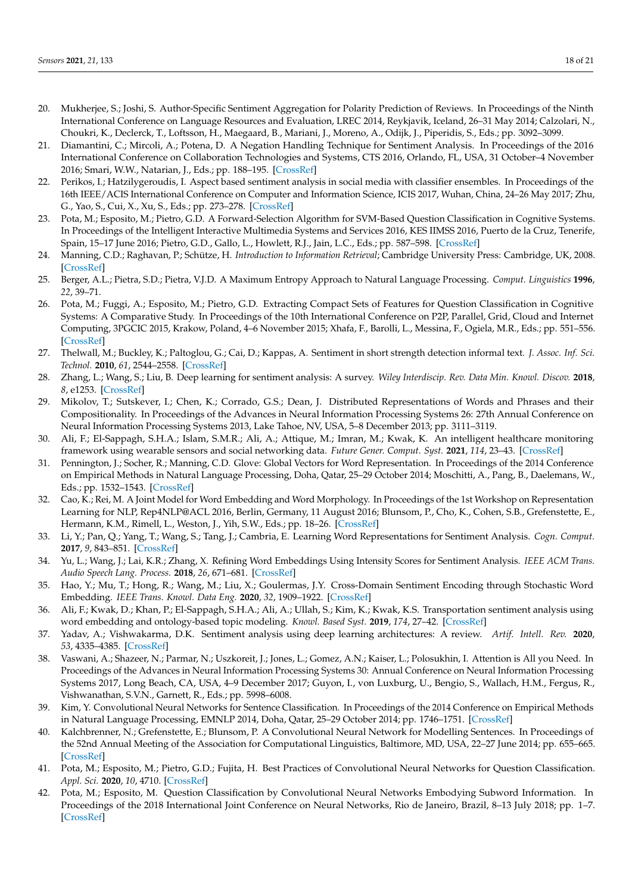- <span id="page-17-0"></span>20. Mukherjee, S.; Joshi, S. Author-Specific Sentiment Aggregation for Polarity Prediction of Reviews. In Proceedings of the Ninth International Conference on Language Resources and Evaluation, LREC 2014, Reykjavik, Iceland, 26–31 May 2014; Calzolari, N., Choukri, K., Declerck, T., Loftsson, H., Maegaard, B., Mariani, J., Moreno, A., Odijk, J., Piperidis, S., Eds.; pp. 3092–3099.
- <span id="page-17-1"></span>21. Diamantini, C.; Mircoli, A.; Potena, D. A Negation Handling Technique for Sentiment Analysis. In Proceedings of the 2016 International Conference on Collaboration Technologies and Systems, CTS 2016, Orlando, FL, USA, 31 October–4 November 2016; Smari, W.W., Natarian, J., Eds.; pp. 188–195. [\[CrossRef\]](http://dx.doi.org/10.1109/CTS.2016.0048)
- <span id="page-17-2"></span>22. Perikos, I.; Hatzilygeroudis, I. Aspect based sentiment analysis in social media with classifier ensembles. In Proceedings of the 16th IEEE/ACIS International Conference on Computer and Information Science, ICIS 2017, Wuhan, China, 24–26 May 2017; Zhu, G., Yao, S., Cui, X., Xu, S., Eds.; pp. 273–278. [\[CrossRef\]](http://dx.doi.org/10.1109/ICIS.2017.7960005)
- <span id="page-17-3"></span>23. Pota, M.; Esposito, M.; Pietro, G.D. A Forward-Selection Algorithm for SVM-Based Question Classification in Cognitive Systems. In Proceedings of the Intelligent Interactive Multimedia Systems and Services 2016, KES IIMSS 2016, Puerto de la Cruz, Tenerife, Spain, 15–17 June 2016; Pietro, G.D., Gallo, L., Howlett, R.J., Jain, L.C., Eds.; pp. 587–598. [\[CrossRef\]](http://dx.doi.org/10.1007/978-3-319-39345-2_52)
- <span id="page-17-4"></span>24. Manning, C.D.; Raghavan, P.; Schütze, H. *Introduction to Information Retrieval*; Cambridge University Press: Cambridge, UK, 2008. [\[CrossRef\]](http://dx.doi.org/10.1017/CBO9780511809071)
- <span id="page-17-5"></span>25. Berger, A.L.; Pietra, S.D.; Pietra, V.J.D. A Maximum Entropy Approach to Natural Language Processing. *Comput. Linguistics* **1996**, *22*, 39–71.
- <span id="page-17-6"></span>26. Pota, M.; Fuggi, A.; Esposito, M.; Pietro, G.D. Extracting Compact Sets of Features for Question Classification in Cognitive Systems: A Comparative Study. In Proceedings of the 10th International Conference on P2P, Parallel, Grid, Cloud and Internet Computing, 3PGCIC 2015, Krakow, Poland, 4–6 November 2015; Xhafa, F., Barolli, L., Messina, F., Ogiela, M.R., Eds.; pp. 551–556. [\[CrossRef\]](http://dx.doi.org/10.1109/3PGCIC.2015.118)
- <span id="page-17-7"></span>27. Thelwall, M.; Buckley, K.; Paltoglou, G.; Cai, D.; Kappas, A. Sentiment in short strength detection informal text. *J. Assoc. Inf. Sci. Technol.* **2010**, *61*, 2544–2558. [\[CrossRef\]](http://dx.doi.org/10.1002/asi.21416)
- <span id="page-17-8"></span>28. Zhang, L.; Wang, S.; Liu, B. Deep learning for sentiment analysis: A survey. *Wiley Interdiscip. Rev. Data Min. Knowl. Discov.* **2018**, *8*, e1253. [\[CrossRef\]](http://dx.doi.org/10.1002/widm.1253)
- <span id="page-17-9"></span>29. Mikolov, T.; Sutskever, I.; Chen, K.; Corrado, G.S.; Dean, J. Distributed Representations of Words and Phrases and their Compositionality. In Proceedings of the Advances in Neural Information Processing Systems 26: 27th Annual Conference on Neural Information Processing Systems 2013, Lake Tahoe, NV, USA, 5–8 December 2013; pp. 3111–3119.
- <span id="page-17-10"></span>30. Ali, F.; El-Sappagh, S.H.A.; Islam, S.M.R.; Ali, A.; Attique, M.; Imran, M.; Kwak, K. An intelligent healthcare monitoring framework using wearable sensors and social networking data. *Future Gener. Comput. Syst.* **2021**, *114*, 23–43. [\[CrossRef\]](http://dx.doi.org/10.1016/j.future.2020.07.047)
- <span id="page-17-11"></span>31. Pennington, J.; Socher, R.; Manning, C.D. Glove: Global Vectors for Word Representation. In Proceedings of the 2014 Conference on Empirical Methods in Natural Language Processing, Doha, Qatar, 25–29 October 2014; Moschitti, A., Pang, B., Daelemans, W., Eds.; pp. 1532–1543. [\[CrossRef\]](http://dx.doi.org/10.3115/v1/d14-1162)
- <span id="page-17-12"></span>32. Cao, K.; Rei, M. A Joint Model for Word Embedding and Word Morphology. In Proceedings of the 1st Workshop on Representation Learning for NLP, Rep4NLP@ACL 2016, Berlin, Germany, 11 August 2016; Blunsom, P., Cho, K., Cohen, S.B., Grefenstette, E., Hermann, K.M., Rimell, L., Weston, J., Yih, S.W., Eds.; pp. 18–26. [\[CrossRef\]](http://dx.doi.org/10.18653/v1/W16-1603)
- <span id="page-17-13"></span>33. Li, Y.; Pan, Q.; Yang, T.; Wang, S.; Tang, J.; Cambria, E. Learning Word Representations for Sentiment Analysis. *Cogn. Comput.* **2017**, *9*, 843–851. [\[CrossRef\]](http://dx.doi.org/10.1007/s12559-017-9492-2)
- <span id="page-17-14"></span>34. Yu, L.; Wang, J.; Lai, K.R.; Zhang, X. Refining Word Embeddings Using Intensity Scores for Sentiment Analysis. *IEEE ACM Trans. Audio Speech Lang. Process.* **2018**, *26*, 671–681. [\[CrossRef\]](http://dx.doi.org/10.1109/TASLP.2017.2788182)
- <span id="page-17-15"></span>35. Hao, Y.; Mu, T.; Hong, R.; Wang, M.; Liu, X.; Goulermas, J.Y. Cross-Domain Sentiment Encoding through Stochastic Word Embedding. *IEEE Trans. Knowl. Data Eng.* **2020**, *32*, 1909–1922. [\[CrossRef\]](http://dx.doi.org/10.1109/TKDE.2019.2913379)
- <span id="page-17-16"></span>36. Ali, F.; Kwak, D.; Khan, P.; El-Sappagh, S.H.A.; Ali, A.; Ullah, S.; Kim, K.; Kwak, K.S. Transportation sentiment analysis using word embedding and ontology-based topic modeling. *Knowl. Based Syst.* **2019**, *174*, 27–42. [\[CrossRef\]](http://dx.doi.org/10.1016/j.knosys.2019.02.033)
- <span id="page-17-17"></span>37. Yadav, A.; Vishwakarma, D.K. Sentiment analysis using deep learning architectures: A review. *Artif. Intell. Rev.* **2020**, *53*, 4335–4385. [\[CrossRef\]](http://dx.doi.org/10.1007/s10462-019-09794-5)
- <span id="page-17-18"></span>38. Vaswani, A.; Shazeer, N.; Parmar, N.; Uszkoreit, J.; Jones, L.; Gomez, A.N.; Kaiser, L.; Polosukhin, I. Attention is All you Need. In Proceedings of the Advances in Neural Information Processing Systems 30: Annual Conference on Neural Information Processing Systems 2017, Long Beach, CA, USA, 4–9 December 2017; Guyon, I., von Luxburg, U., Bengio, S., Wallach, H.M., Fergus, R., Vishwanathan, S.V.N., Garnett, R., Eds.; pp. 5998–6008.
- <span id="page-17-19"></span>39. Kim, Y. Convolutional Neural Networks for Sentence Classification. In Proceedings of the 2014 Conference on Empirical Methods in Natural Language Processing, EMNLP 2014, Doha, Qatar, 25–29 October 2014; pp. 1746–1751. [\[CrossRef\]](http://dx.doi.org/10.3115/v1/d14-1181)
- <span id="page-17-20"></span>40. Kalchbrenner, N.; Grefenstette, E.; Blunsom, P. A Convolutional Neural Network for Modelling Sentences. In Proceedings of the 52nd Annual Meeting of the Association for Computational Linguistics, Baltimore, MD, USA, 22–27 June 2014; pp. 655–665. [\[CrossRef\]](http://dx.doi.org/10.3115/v1/p14-1062)
- <span id="page-17-21"></span>41. Pota, M.; Esposito, M.; Pietro, G.D.; Fujita, H. Best Practices of Convolutional Neural Networks for Question Classification. *Appl. Sci.* **2020**, *10*, 4710. [\[CrossRef\]](http://dx.doi.org/10.3390/app10144710)
- <span id="page-17-22"></span>42. Pota, M.; Esposito, M. Question Classification by Convolutional Neural Networks Embodying Subword Information. In Proceedings of the 2018 International Joint Conference on Neural Networks, Rio de Janeiro, Brazil, 8–13 July 2018; pp. 1–7. [\[CrossRef\]](http://dx.doi.org/10.1109/IJCNN.2018.8489406)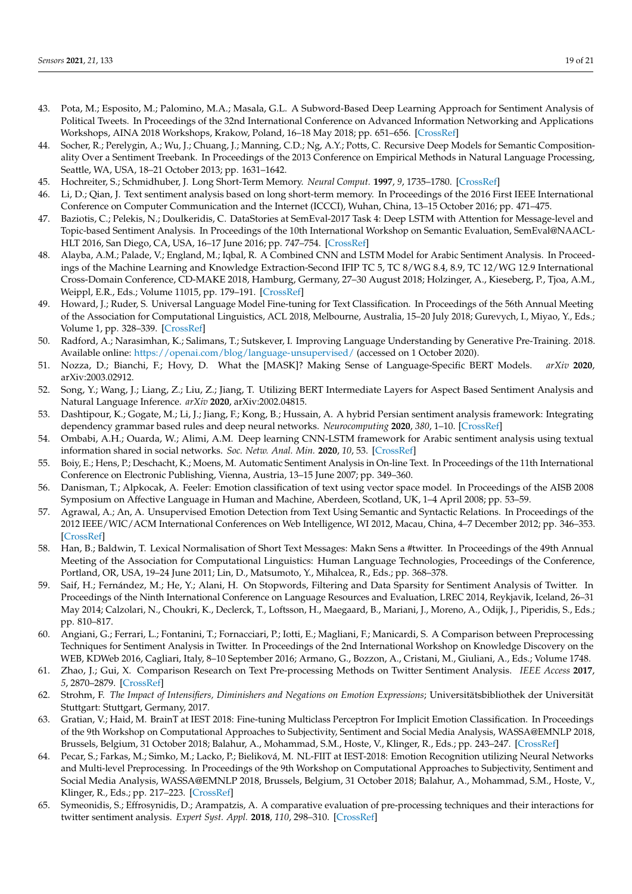- <span id="page-18-0"></span>43. Pota, M.; Esposito, M.; Palomino, M.A.; Masala, G.L. A Subword-Based Deep Learning Approach for Sentiment Analysis of Political Tweets. In Proceedings of the 32nd International Conference on Advanced Information Networking and Applications Workshops, AINA 2018 Workshops, Krakow, Poland, 16–18 May 2018; pp. 651–656. [\[CrossRef\]](http://dx.doi.org/10.1109/WAINA.2018.00162)
- <span id="page-18-1"></span>44. Socher, R.; Perelygin, A.; Wu, J.; Chuang, J.; Manning, C.D.; Ng, A.Y.; Potts, C. Recursive Deep Models for Semantic Compositionality Over a Sentiment Treebank. In Proceedings of the 2013 Conference on Empirical Methods in Natural Language Processing, Seattle, WA, USA, 18–21 October 2013; pp. 1631–1642.
- <span id="page-18-2"></span>45. Hochreiter, S.; Schmidhuber, J. Long Short-Term Memory. *Neural Comput.* **1997**, *9*, 1735–1780. [\[CrossRef\]](http://dx.doi.org/10.1162/neco.1997.9.8.1735)
- <span id="page-18-3"></span>46. Li, D.; Qian, J. Text sentiment analysis based on long short-term memory. In Proceedings of the 2016 First IEEE International Conference on Computer Communication and the Internet (ICCCI), Wuhan, China, 13–15 October 2016; pp. 471–475.
- <span id="page-18-4"></span>47. Baziotis, C.; Pelekis, N.; Doulkeridis, C. DataStories at SemEval-2017 Task 4: Deep LSTM with Attention for Message-level and Topic-based Sentiment Analysis. In Proceedings of the 10th International Workshop on Semantic Evaluation, SemEval@NAACL-HLT 2016, San Diego, CA, USA, 16–17 June 2016; pp. 747–754. [\[CrossRef\]](http://dx.doi.org/10.18653/v1/S17-2126)
- <span id="page-18-5"></span>48. Alayba, A.M.; Palade, V.; England, M.; Iqbal, R. A Combined CNN and LSTM Model for Arabic Sentiment Analysis. In Proceedings of the Machine Learning and Knowledge Extraction-Second IFIP TC 5, TC 8/WG 8.4, 8.9, TC 12/WG 12.9 International Cross-Domain Conference, CD-MAKE 2018, Hamburg, Germany, 27–30 August 2018; Holzinger, A., Kieseberg, P., Tjoa, A.M., Weippl, E.R., Eds.; Volume 11015, pp. 179–191. [\[CrossRef\]](http://dx.doi.org/10.1007/978-3-319-99740-7_12)
- <span id="page-18-6"></span>49. Howard, J.; Ruder, S. Universal Language Model Fine-tuning for Text Classification. In Proceedings of the 56th Annual Meeting of the Association for Computational Linguistics, ACL 2018, Melbourne, Australia, 15–20 July 2018; Gurevych, I., Miyao, Y., Eds.; Volume 1, pp. 328–339. [\[CrossRef\]](http://dx.doi.org/10.18653/v1/P18-1031)
- <span id="page-18-7"></span>50. Radford, A.; Narasimhan, K.; Salimans, T.; Sutskever, I. Improving Language Understanding by Generative Pre-Training. 2018. Available online: <https://openai.com/blog/language-unsupervised/> (accessed on 1 October 2020).
- <span id="page-18-8"></span>51. Nozza, D.; Bianchi, F.; Hovy, D. What the [MASK]? Making Sense of Language-Specific BERT Models. *arXiv* **2020**, arXiv:2003.02912.
- <span id="page-18-9"></span>52. Song, Y.; Wang, J.; Liang, Z.; Liu, Z.; Jiang, T. Utilizing BERT Intermediate Layers for Aspect Based Sentiment Analysis and Natural Language Inference. *arXiv* **2020**, arXiv:2002.04815.
- <span id="page-18-10"></span>53. Dashtipour, K.; Gogate, M.; Li, J.; Jiang, F.; Kong, B.; Hussain, A. A hybrid Persian sentiment analysis framework: Integrating dependency grammar based rules and deep neural networks. *Neurocomputing* **2020**, *380*, 1–10. [\[CrossRef\]](http://dx.doi.org/10.1016/j.neucom.2019.10.009)
- <span id="page-18-11"></span>54. Ombabi, A.H.; Ouarda, W.; Alimi, A.M. Deep learning CNN-LSTM framework for Arabic sentiment analysis using textual information shared in social networks. *Soc. Netw. Anal. Min.* **2020**, *10*, 53. [\[CrossRef\]](http://dx.doi.org/10.1007/s13278-020-00668-1)
- <span id="page-18-12"></span>55. Boiy, E.; Hens, P.; Deschacht, K.; Moens, M. Automatic Sentiment Analysis in On-line Text. In Proceedings of the 11th International Conference on Electronic Publishing, Vienna, Austria, 13–15 June 2007; pp. 349–360.
- <span id="page-18-13"></span>56. Danisman, T.; Alpkocak, A. Feeler: Emotion classification of text using vector space model. In Proceedings of the AISB 2008 Symposium on Affective Language in Human and Machine, Aberdeen, Scotland, UK, 1–4 April 2008; pp. 53–59.
- <span id="page-18-14"></span>57. Agrawal, A.; An, A. Unsupervised Emotion Detection from Text Using Semantic and Syntactic Relations. In Proceedings of the 2012 IEEE/WIC/ACM International Conferences on Web Intelligence, WI 2012, Macau, China, 4–7 December 2012; pp. 346–353. [\[CrossRef\]](http://dx.doi.org/10.1109/WI-IAT.2012.170)
- <span id="page-18-15"></span>58. Han, B.; Baldwin, T. Lexical Normalisation of Short Text Messages: Makn Sens a #twitter. In Proceedings of the 49th Annual Meeting of the Association for Computational Linguistics: Human Language Technologies, Proceedings of the Conference, Portland, OR, USA, 19–24 June 2011; Lin, D., Matsumoto, Y., Mihalcea, R., Eds.; pp. 368–378.
- <span id="page-18-16"></span>59. Saif, H.; Fernández, M.; He, Y.; Alani, H. On Stopwords, Filtering and Data Sparsity for Sentiment Analysis of Twitter. In Proceedings of the Ninth International Conference on Language Resources and Evaluation, LREC 2014, Reykjavik, Iceland, 26–31 May 2014; Calzolari, N., Choukri, K., Declerck, T., Loftsson, H., Maegaard, B., Mariani, J., Moreno, A., Odijk, J., Piperidis, S., Eds.; pp. 810–817.
- <span id="page-18-17"></span>60. Angiani, G.; Ferrari, L.; Fontanini, T.; Fornacciari, P.; Iotti, E.; Magliani, F.; Manicardi, S. A Comparison between Preprocessing Techniques for Sentiment Analysis in Twitter. In Proceedings of the 2nd International Workshop on Knowledge Discovery on the WEB, KDWeb 2016, Cagliari, Italy, 8–10 September 2016; Armano, G., Bozzon, A., Cristani, M., Giuliani, A., Eds.; Volume 1748.
- <span id="page-18-18"></span>61. Zhao, J.; Gui, X. Comparison Research on Text Pre-processing Methods on Twitter Sentiment Analysis. *IEEE Access* **2017**, *5*, 2870–2879. [\[CrossRef\]](http://dx.doi.org/10.1109/ACCESS.2017.2672677)
- <span id="page-18-19"></span>62. Strohm, F. *The Impact of Intensifiers, Diminishers and Negations on Emotion Expressions*; Universitätsbibliothek der Universität Stuttgart: Stuttgart, Germany, 2017.
- <span id="page-18-20"></span>63. Gratian, V.; Haid, M. BrainT at IEST 2018: Fine-tuning Multiclass Perceptron For Implicit Emotion Classification. In Proceedings of the 9th Workshop on Computational Approaches to Subjectivity, Sentiment and Social Media Analysis, WASSA@EMNLP 2018, Brussels, Belgium, 31 October 2018; Balahur, A., Mohammad, S.M., Hoste, V., Klinger, R., Eds.; pp. 243–247. [\[CrossRef\]](http://dx.doi.org/10.18653/v1/w18-6235)
- <span id="page-18-21"></span>64. Pecar, S.; Farkas, M.; Simko, M.; Lacko, P.; Bieliková, M. NL-FIIT at IEST-2018: Emotion Recognition utilizing Neural Networks and Multi-level Preprocessing. In Proceedings of the 9th Workshop on Computational Approaches to Subjectivity, Sentiment and Social Media Analysis, WASSA@EMNLP 2018, Brussels, Belgium, 31 October 2018; Balahur, A., Mohammad, S.M., Hoste, V., Klinger, R., Eds.; pp. 217–223. [\[CrossRef\]](http://dx.doi.org/10.18653/v1/w18-6231)
- <span id="page-18-22"></span>65. Symeonidis, S.; Effrosynidis, D.; Arampatzis, A. A comparative evaluation of pre-processing techniques and their interactions for twitter sentiment analysis. *Expert Syst. Appl.* **2018**, *110*, 298–310. [\[CrossRef\]](http://dx.doi.org/10.1016/j.eswa.2018.06.022)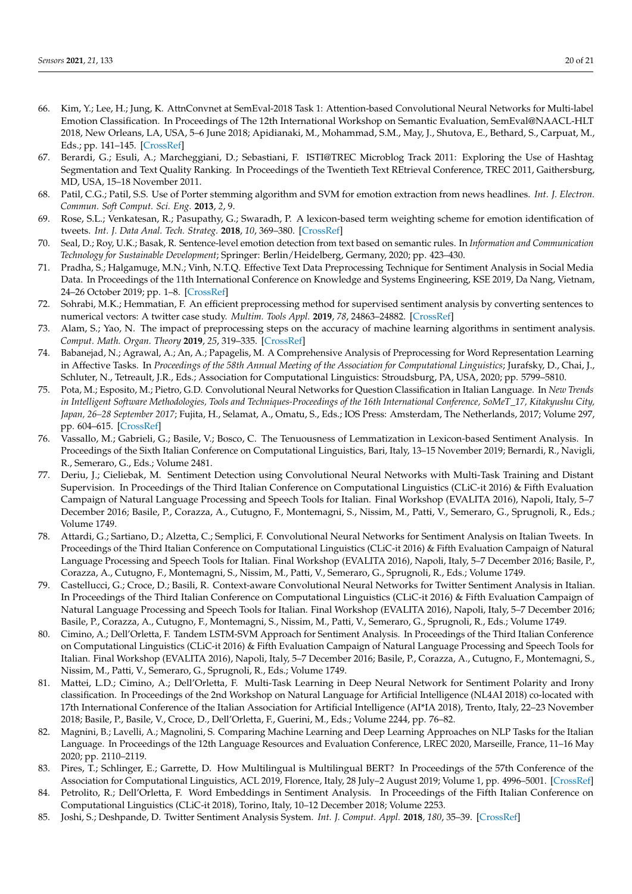- <span id="page-19-0"></span>66. Kim, Y.; Lee, H.; Jung, K. AttnConvnet at SemEval-2018 Task 1: Attention-based Convolutional Neural Networks for Multi-label Emotion Classification. In Proceedings of The 12th International Workshop on Semantic Evaluation, SemEval@NAACL-HLT 2018, New Orleans, LA, USA, 5–6 June 2018; Apidianaki, M., Mohammad, S.M., May, J., Shutova, E., Bethard, S., Carpuat, M., Eds.; pp. 141–145. [\[CrossRef\]](http://dx.doi.org/10.18653/v1/s18-1019)
- <span id="page-19-1"></span>67. Berardi, G.; Esuli, A.; Marcheggiani, D.; Sebastiani, F. ISTI@TREC Microblog Track 2011: Exploring the Use of Hashtag Segmentation and Text Quality Ranking. In Proceedings of the Twentieth Text REtrieval Conference, TREC 2011, Gaithersburg, MD, USA, 15–18 November 2011.
- <span id="page-19-2"></span>68. Patil, C.G.; Patil, S.S. Use of Porter stemming algorithm and SVM for emotion extraction from news headlines. *Int. J. Electron. Commun. Soft Comput. Sci. Eng.* **2013**, *2*, 9.
- <span id="page-19-3"></span>69. Rose, S.L.; Venkatesan, R.; Pasupathy, G.; Swaradh, P. A lexicon-based term weighting scheme for emotion identification of tweets. *Int. J. Data Anal. Tech. Strateg.* **2018**, *10*, 369–380. [\[CrossRef\]](http://dx.doi.org/10.1504/IJDATS.2018.095216)
- <span id="page-19-4"></span>70. Seal, D.; Roy, U.K.; Basak, R. Sentence-level emotion detection from text based on semantic rules. In *Information and Communication Technology for Sustainable Development*; Springer: Berlin/Heidelberg, Germany, 2020; pp. 423–430.
- <span id="page-19-5"></span>71. Pradha, S.; Halgamuge, M.N.; Vinh, N.T.Q. Effective Text Data Preprocessing Technique for Sentiment Analysis in Social Media Data. In Proceedings of the 11th International Conference on Knowledge and Systems Engineering, KSE 2019, Da Nang, Vietnam, 24–26 October 2019; pp. 1–8. [\[CrossRef\]](http://dx.doi.org/10.1109/KSE.2019.8919368)
- <span id="page-19-6"></span>72. Sohrabi, M.K.; Hemmatian, F. An efficient preprocessing method for supervised sentiment analysis by converting sentences to numerical vectors: A twitter case study. *Multim. Tools Appl.* **2019**, *78*, 24863–24882. [\[CrossRef\]](http://dx.doi.org/10.1007/s11042-019-7586-4)
- <span id="page-19-7"></span>73. Alam, S.; Yao, N. The impact of preprocessing steps on the accuracy of machine learning algorithms in sentiment analysis. *Comput. Math. Organ. Theory* **2019**, *25*, 319–335. [\[CrossRef\]](http://dx.doi.org/10.1007/s10588-018-9266-8)
- <span id="page-19-8"></span>74. Babanejad, N.; Agrawal, A.; An, A.; Papagelis, M. A Comprehensive Analysis of Preprocessing for Word Representation Learning in Affective Tasks. In Proceedings of the 58th Annual Meeting of the Association for Computational Linguistics; Jurafsky, D., Chai, J., Schluter, N., Tetreault, J.R., Eds.; Association for Computational Linguistics: Stroudsburg, PA, USA, 2020; pp. 5799–5810.
- <span id="page-19-9"></span>75. Pota, M.; Esposito, M.; Pietro, G.D. Convolutional Neural Networks for Question Classification in Italian Language. In *New Trends in Intelligent Software Methodologies, Tools and Techniques-Proceedings of the 16th International Conference, SoMeT\_17, Kitakyushu City, Japan, 26–28 September 2017*; Fujita, H., Selamat, A., Omatu, S., Eds.; IOS Press: Amsterdam, The Netherlands, 2017; Volume 297, pp. 604–615. [\[CrossRef\]](http://dx.doi.org/10.3233/978-1-61499-800-6-604)
- <span id="page-19-10"></span>76. Vassallo, M.; Gabrieli, G.; Basile, V.; Bosco, C. The Tenuousness of Lemmatization in Lexicon-based Sentiment Analysis. In Proceedings of the Sixth Italian Conference on Computational Linguistics, Bari, Italy, 13–15 November 2019; Bernardi, R., Navigli, R., Semeraro, G., Eds.; Volume 2481.
- <span id="page-19-11"></span>77. Deriu, J.; Cieliebak, M. Sentiment Detection using Convolutional Neural Networks with Multi-Task Training and Distant Supervision. In Proceedings of the Third Italian Conference on Computational Linguistics (CLiC-it 2016) & Fifth Evaluation Campaign of Natural Language Processing and Speech Tools for Italian. Final Workshop (EVALITA 2016), Napoli, Italy, 5–7 December 2016; Basile, P., Corazza, A., Cutugno, F., Montemagni, S., Nissim, M., Patti, V., Semeraro, G., Sprugnoli, R., Eds.; Volume 1749.
- <span id="page-19-12"></span>78. Attardi, G.; Sartiano, D.; Alzetta, C.; Semplici, F. Convolutional Neural Networks for Sentiment Analysis on Italian Tweets. In Proceedings of the Third Italian Conference on Computational Linguistics (CLiC-it 2016) & Fifth Evaluation Campaign of Natural Language Processing and Speech Tools for Italian. Final Workshop (EVALITA 2016), Napoli, Italy, 5–7 December 2016; Basile, P., Corazza, A., Cutugno, F., Montemagni, S., Nissim, M., Patti, V., Semeraro, G., Sprugnoli, R., Eds.; Volume 1749.
- <span id="page-19-13"></span>79. Castellucci, G.; Croce, D.; Basili, R. Context-aware Convolutional Neural Networks for Twitter Sentiment Analysis in Italian. In Proceedings of the Third Italian Conference on Computational Linguistics (CLiC-it 2016) & Fifth Evaluation Campaign of Natural Language Processing and Speech Tools for Italian. Final Workshop (EVALITA 2016), Napoli, Italy, 5–7 December 2016; Basile, P., Corazza, A., Cutugno, F., Montemagni, S., Nissim, M., Patti, V., Semeraro, G., Sprugnoli, R., Eds.; Volume 1749.
- <span id="page-19-14"></span>80. Cimino, A.; Dell'Orletta, F. Tandem LSTM-SVM Approach for Sentiment Analysis. In Proceedings of the Third Italian Conference on Computational Linguistics (CLiC-it 2016) & Fifth Evaluation Campaign of Natural Language Processing and Speech Tools for Italian. Final Workshop (EVALITA 2016), Napoli, Italy, 5–7 December 2016; Basile, P., Corazza, A., Cutugno, F., Montemagni, S., Nissim, M., Patti, V., Semeraro, G., Sprugnoli, R., Eds.; Volume 1749.
- <span id="page-19-15"></span>81. Mattei, L.D.; Cimino, A.; Dell'Orletta, F. Multi-Task Learning in Deep Neural Network for Sentiment Polarity and Irony classification. In Proceedings of the 2nd Workshop on Natural Language for Artificial Intelligence (NL4AI 2018) co-located with 17th International Conference of the Italian Association for Artificial Intelligence (AI\*IA 2018), Trento, Italy, 22–23 November 2018; Basile, P., Basile, V., Croce, D., Dell'Orletta, F., Guerini, M., Eds.; Volume 2244, pp. 76–82.
- <span id="page-19-16"></span>82. Magnini, B.; Lavelli, A.; Magnolini, S. Comparing Machine Learning and Deep Learning Approaches on NLP Tasks for the Italian Language. In Proceedings of the 12th Language Resources and Evaluation Conference, LREC 2020, Marseille, France, 11–16 May 2020; pp. 2110–2119.
- <span id="page-19-17"></span>83. Pires, T.; Schlinger, E.; Garrette, D. How Multilingual is Multilingual BERT? In Proceedings of the 57th Conference of the Association for Computational Linguistics, ACL 2019, Florence, Italy, 28 July–2 August 2019; Volume 1, pp. 4996–5001. [\[CrossRef\]](http://dx.doi.org/10.18653/v1/p19-1493)
- <span id="page-19-18"></span>84. Petrolito, R.; Dell'Orletta, F. Word Embeddings in Sentiment Analysis. In Proceedings of the Fifth Italian Conference on Computational Linguistics (CLiC-it 2018), Torino, Italy, 10–12 December 2018; Volume 2253.
- <span id="page-19-19"></span>85. Joshi, S.; Deshpande, D. Twitter Sentiment Analysis System. *Int. J. Comput. Appl.* **2018**, *180*, 35–39. [\[CrossRef\]](http://dx.doi.org/10.5120/ijca2018917319)